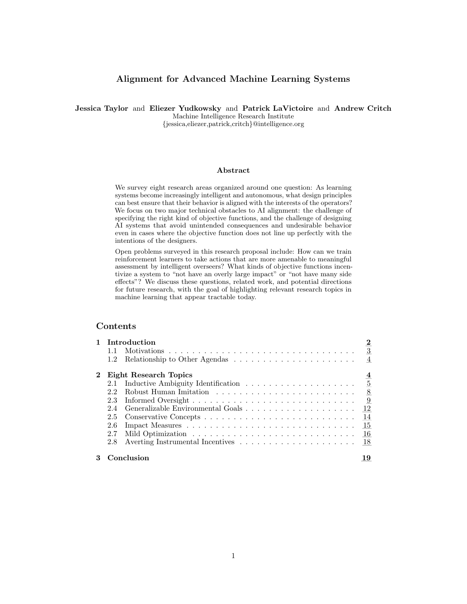# Alignment for Advanced Machine Learning Systems

Jessica Taylor and Eliezer Yudkowsky and Patrick LaVictoire and Andrew Critch Machine Intelligence Research Institute

{jessica,eliezer,patrick,critch}@intelligence.org

#### Abstract

We survey eight research areas organized around one question: As learning systems become increasingly intelligent and autonomous, what design principles can best ensure that their behavior is aligned with the interests of the operators? We focus on two major technical obstacles to AI alignment: the challenge of specifying the right kind of objective functions, and the challenge of designing AI systems that avoid unintended consequences and undesirable behavior even in cases where the objective function does not line up perfectly with the intentions of the designers.

Open problems surveyed in this research proposal include: How can we train reinforcement learners to take actions that are more amenable to meaningful assessment by intelligent overseers? What kinds of objective functions incentivize a system to "not have an overly large impact" or "not have many side effects"? We discuss these questions, related work, and potential directions for future research, with the goal of highlighting relevant research topics in machine learning that appear tractable today.

# Contents

|              | 1 Introduction                                   |                   |     |  |
|--------------|--------------------------------------------------|-------------------|-----|--|
|              |                                                  |                   | - 3 |  |
|              | 1.2                                              |                   |     |  |
| $\mathbf{2}$ | Eight Research Topics<br>$\overline{\mathbf{4}}$ |                   |     |  |
|              |                                                  |                   | - 5 |  |
|              | 22                                               |                   | - 8 |  |
|              | 2.3                                              |                   | - 9 |  |
|              | 24                                               |                   | 12  |  |
|              |                                                  |                   | 14  |  |
|              | 2.6                                              |                   | 15  |  |
|              | 2.7                                              | Mild Optimization | -16 |  |
|              | 2.8                                              |                   |     |  |
| 3            |                                                  | Conclusion        | 19  |  |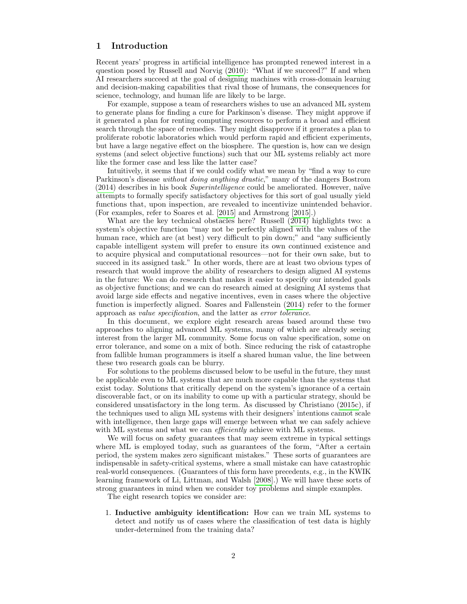# <span id="page-1-0"></span>1 Introduction

Recent years' progress in artificial intelligence has prompted renewed interest in a question posed by Russell and Norvig [\(2010\)](#page-23-0): "What if we succeed?" If and when AI researchers succeed at the goal of designing machines with cross-domain learning and decision-making capabilities that rival those of humans, the consequences for science, technology, and human life are likely to be large.

For example, suppose a team of researchers wishes to use an advanced ML system to generate plans for finding a cure for Parkinson's disease. They might approve if it generated a plan for renting computing resources to perform a broad and efficient search through the space of remedies. They might disapprove if it generates a plan to proliferate robotic laboratories which would perform rapid and efficient experiments, but have a large negative effect on the biosphere. The question is, how can we design systems (and select objective functions) such that our ML systems reliably act more like the former case and less like the latter case?

Intuitively, it seems that if we could codify what we mean by "find a way to cure Parkinson's disease without doing anything drastic," many of the dangers Bostrom  $(2014)$  describes in his book *Superintelligence* could be ameliorated. However, naïve attempts to formally specify satisfactory objectives for this sort of goal usually yield functions that, upon inspection, are revealed to incentivize unintended behavior. (For examples, refer to Soares et al. [\[2015\]](#page-24-0) and Armstrong [\[2015\]](#page-19-0).)

What are the key technical obstacles here? Russell [\(2014\)](#page-23-1) highlights two: a system's objective function "may not be perfectly aligned with the values of the human race, which are (at best) very difficult to pin down;" and "any sufficiently capable intelligent system will prefer to ensure its own continued existence and to acquire physical and computational resources—not for their own sake, but to succeed in its assigned task." In other words, there are at least two obvious types of research that would improve the ability of researchers to design aligned AI systems in the future: We can do research that makes it easier to specify our intended goals as objective functions; and we can do research aimed at designing AI systems that avoid large side effects and negative incentives, even in cases where the objective function is imperfectly aligned. Soares and Fallenstein [\(2014\)](#page-24-1) refer to the former approach as value specification, and the latter as error tolerance.

In this document, we explore eight research areas based around these two approaches to aligning advanced ML systems, many of which are already seeing interest from the larger ML community. Some focus on value specification, some on error tolerance, and some on a mix of both. Since reducing the risk of catastrophe from fallible human programmers is itself a shared human value, the line between these two research goals can be blurry.

For solutions to the problems discussed below to be useful in the future, they must be applicable even to ML systems that are much more capable than the systems that exist today. Solutions that critically depend on the system's ignorance of a certain discoverable fact, or on its inability to come up with a particular strategy, should be considered unsatisfactory in the long term. As discussed by Christiano [\(2015c\)](#page-20-1), if the techniques used to align ML systems with their designers' intentions cannot scale with intelligence, then large gaps will emerge between what we can safely achieve with ML systems and what we can *efficiently* achieve with ML systems.

We will focus on safety guarantees that may seem extreme in typical settings where ML is employed today, such as guarantees of the form, "After a certain period, the system makes zero significant mistakes." These sorts of guarantees are indispensable in safety-critical systems, where a small mistake can have catastrophic real-world consequences. (Guarantees of this form have precedents, e.g., in the KWIK learning framework of Li, Littman, and Walsh [\[2008\]](#page-22-0).) We will have these sorts of strong guarantees in mind when we consider toy problems and simple examples.

The eight research topics we consider are:

1. Inductive ambiguity identification: How can we train ML systems to detect and notify us of cases where the classification of test data is highly under-determined from the training data?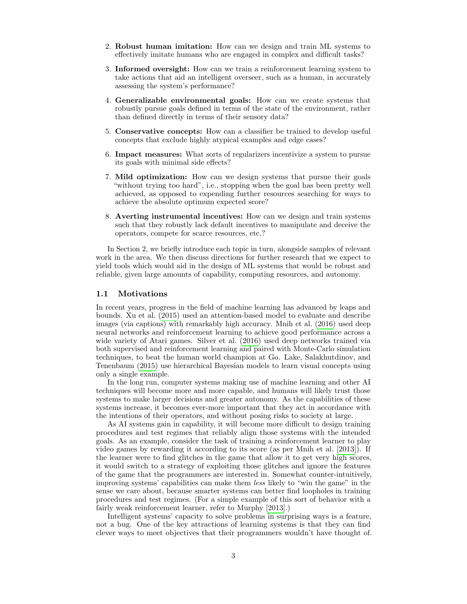- 2. Robust human imitation: How can we design and train ML systems to effectively imitate humans who are engaged in complex and difficult tasks?
- 3. Informed oversight: How can we train a reinforcement learning system to take actions that aid an intelligent overseer, such as a human, in accurately assessing the system's performance?
- 4. Generalizable environmental goals: How can we create systems that robustly pursue goals defined in terms of the state of the environment, rather than defined directly in terms of their sensory data?
- 5. Conservative concepts: How can a classifier be trained to develop useful concepts that exclude highly atypical examples and edge cases?
- 6. Impact measures: What sorts of regularizers incentivize a system to pursue its goals with minimal side effects?
- 7. Mild optimization: How can we design systems that pursue their goals "without trying too hard", i.e., stopping when the goal has been pretty well achieved, as opposed to expending further resources searching for ways to achieve the absolute optimum expected score?
- 8. Averting instrumental incentives: How can we design and train systems such that they robustly lack default incentives to manipulate and deceive the operators, compete for scarce resources, etc.?

In Section [2,](#page-3-1) we briefly introduce each topic in turn, alongside samples of relevant work in the area. We then discuss directions for further research that we expect to yield tools which would aid in the design of ML systems that would be robust and reliable, given large amounts of capability, computing resources, and autonomy.

### <span id="page-2-0"></span>1.1 Motivations

In recent years, progress in the field of machine learning has advanced by leaps and bounds. Xu et al. [\(2015\)](#page-24-2) used an attention-based model to evaluate and describe images (via captions) with remarkably high accuracy. Mnih et al. [\(2016\)](#page-22-1) used deep neural networks and reinforcement learning to achieve good performance across a wide variety of Atari games. Silver et al. [\(2016\)](#page-23-2) used deep networks trained via both supervised and reinforcement learning and paired with Monte-Carlo simulation techniques, to beat the human world champion at Go. Lake, Salakhutdinov, and Tenenbaum [\(2015\)](#page-22-2) use hierarchical Bayesian models to learn visual concepts using only a single example.

In the long run, computer systems making use of machine learning and other AI techniques will become more and more capable, and humans will likely trust those systems to make larger decisions and greater autonomy. As the capabilities of these systems increase, it becomes ever-more important that they act in accordance with the intentions of their operators, and without posing risks to society at large.

As AI systems gain in capability, it will become more difficult to design training procedures and test regimes that reliably align those systems with the intended goals. As an example, consider the task of training a reinforcement learner to play video games by rewarding it according to its score (as per Mnih et al. [\[2013\]](#page-22-3)). If the learner were to find glitches in the game that allow it to get very high scores, it would switch to a strategy of exploiting those glitches and ignore the features of the game that the programmers are interested in. Somewhat counter-intuitively, improving systems' capabilities can make them less likely to "win the game" in the sense we care about, because smarter systems can better find loopholes in training procedures and test regimes. (For a simple example of this sort of behavior with a fairly weak reinforcement learner, refer to Murphy [\[2013\]](#page-22-4).)

Intelligent systems' capacity to solve problems in surprising ways is a feature, not a bug. One of the key attractions of learning systems is that they can find clever ways to meet objectives that their programmers wouldn't have thought of.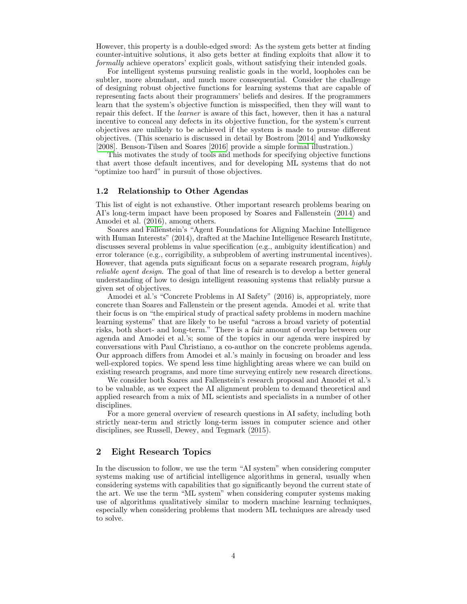However, this property is a double-edged sword: As the system gets better at finding counter-intuitive solutions, it also gets better at finding exploits that allow it to formally achieve operators' explicit goals, without satisfying their intended goals.

For intelligent systems pursuing realistic goals in the world, loopholes can be subtler, more abundant, and much more consequential. Consider the challenge of designing robust objective functions for learning systems that are capable of representing facts about their programmers' beliefs and desires. If the programmers learn that the system's objective function is misspecified, then they will want to repair this defect. If the learner is aware of this fact, however, then it has a natural incentive to conceal any defects in its objective function, for the system's current objectives are unlikely to be achieved if the system is made to pursue different objectives. (This scenario is discussed in detail by Bostrom [\[2014\]](#page-20-0) and Yudkowsky [\[2008\]](#page-24-3). Benson-Tilsen and Soares [\[2016\]](#page-19-1) provide a simple formal illustration.)

This motivates the study of tools and methods for specifying objective functions that avert those default incentives, and for developing ML systems that do not "optimize too hard" in pursuit of those objectives.

## <span id="page-3-0"></span>1.2 Relationship to Other Agendas

This list of eight is not exhaustive. Other important research problems bearing on AI's long-term impact have been proposed by Soares and Fallenstein [\(2014\)](#page-24-1) and Amodei et al. [\(2016\)](#page-19-2), among others.

Soares and Fallenstein's "Agent Foundations for Aligning Machine Intelligence with Human Interests" (2014), drafted at the Machine Intelligence Research Institute, discusses several problems in value specification (e.g., ambiguity identification) and error tolerance (e.g., corrigibility, a subproblem of averting instrumental incentives). However, that agenda puts significant focus on a separate research program, highly reliable agent design. The goal of that line of research is to develop a better general understanding of how to design intelligent reasoning systems that reliably pursue a given set of objectives.

Amodei et al.'s "Concrete Problems in AI Safety" (2016) is, appropriately, more concrete than Soares and Fallenstein or the present agenda. Amodei et al. write that their focus is on "the empirical study of practical safety problems in modern machine learning systems" that are likely to be useful "across a broad variety of potential risks, both short- and long-term." There is a fair amount of overlap between our agenda and Amodei et al.'s; some of the topics in our agenda were inspired by conversations with Paul Christiano, a co-author on the concrete problems agenda. Our approach differs from Amodei et al.'s mainly in focusing on broader and less well-explored topics. We spend less time highlighting areas where we can build on existing research programs, and more time surveying entirely new research directions.

We consider both Soares and Fallenstein's research proposal and Amodei et al.'s to be valuable, as we expect the AI alignment problem to demand theoretical and applied research from a mix of ML scientists and specialists in a number of other disciplines.

For a more general overview of research questions in AI safety, including both strictly near-term and strictly long-term issues in computer science and other disciplines, see Russell, Dewey, and Tegmark [\(2015\)](#page-23-3).

# <span id="page-3-1"></span>2 Eight Research Topics

In the discussion to follow, we use the term "AI system" when considering computer systems making use of artificial intelligence algorithms in general, usually when considering systems with capabilities that go significantly beyond the current state of the art. We use the term "ML system" when considering computer systems making use of algorithms qualitatively similar to modern machine learning techniques, especially when considering problems that modern ML techniques are already used to solve.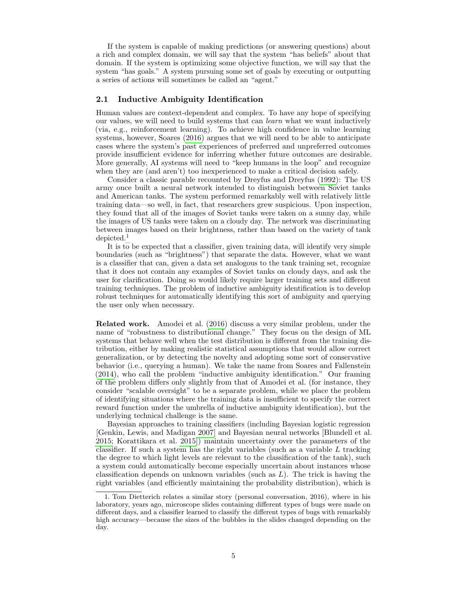If the system is capable of making predictions (or answering questions) about a rich and complex domain, we will say that the system "has beliefs" about that domain. If the system is optimizing some objective function, we will say that the system "has goals." A system pursuing some set of goals by executing or outputting a series of actions will sometimes be called an "agent."

## <span id="page-4-0"></span>2.1 Inductive Ambiguity Identification

Human values are context-dependent and complex. To have any hope of specifying our values, we will need to build systems that can learn what we want inductively (via, e.g., reinforcement learning). To achieve high confidence in value learning systems, however, Soares [\(2016\)](#page-24-4) argues that we will need to be able to anticipate cases where the system's past experiences of preferred and unpreferred outcomes provide insufficient evidence for inferring whether future outcomes are desirable. More generally, AI systems will need to "keep humans in the loop" and recognize when they are (and aren't) too inexperienced to make a critical decision safely.

Consider a classic parable recounted by Dreyfus and Dreyfus [\(1992\)](#page-20-2): The US army once built a neural network intended to distinguish between Soviet tanks and American tanks. The system performed remarkably well with relatively little training data—so well, in fact, that researchers grew suspicious. Upon inspection, they found that all of the images of Soviet tanks were taken on a sunny day, while the images of US tanks were taken on a cloudy day. The network was discriminating between images based on their brightness, rather than based on the variety of tank depicted.[1](#page-4-1)

It is to be expected that a classifier, given training data, will identify very simple boundaries (such as "brightness") that separate the data. However, what we want is a classifier that can, given a data set analogous to the tank training set, recognize that it does not contain any examples of Soviet tanks on cloudy days, and ask the user for clarification. Doing so would likely require larger training sets and different training techniques. The problem of inductive ambiguity identification is to develop robust techniques for automatically identifying this sort of ambiguity and querying the user only when necessary.

Related work. Amodei et al. [\(2016\)](#page-19-2) discuss a very similar problem, under the name of "robustness to distributional change." They focus on the design of ML systems that behave well when the test distribution is different from the training distribution, either by making realistic statistical assumptions that would allow correct generalization, or by detecting the novelty and adopting some sort of conservative behavior (i.e., querying a human). We take the name from Soares and Fallenstein [\(2014\)](#page-24-1), who call the problem "inductive ambiguity identification." Our framing of the problem differs only slightly from that of Amodei et al. (for instance, they consider "scalable oversight" to be a separate problem, while we place the problem of identifying situations where the training data is insufficient to specify the correct reward function under the umbrella of inductive ambiguity identification), but the underlying technical challenge is the same.

Bayesian approaches to training classifiers (including Bayesian logistic regression [Genkin, Lewis, and Madigan [2007\]](#page-21-0) and Bayesian neural networks [Blundell et al. [2015;](#page-20-3) Korattikara et al. [2015\]](#page-22-5)) maintain uncertainty over the parameters of the classifier. If such a system has the right variables (such as a variable  $L$  tracking the degree to which light levels are relevant to the classification of the tank), such a system could automatically become especially uncertain about instances whose classification depends on unknown variables (such as  $L$ ). The trick is having the right variables (and efficiently maintaining the probability distribution), which is

<span id="page-4-1"></span><sup>1.</sup> Tom Dietterich relates a similar story (personal conversation, 2016), where in his laboratory, years ago, microscope slides containing different types of bugs were made on different days, and a classifier learned to classify the different types of bugs with remarkably high accuracy—because the sizes of the bubbles in the slides changed depending on the day.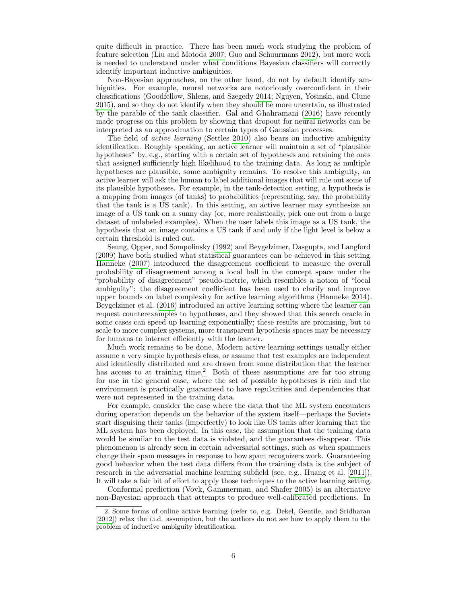quite difficult in practice. There has been much work studying the problem of feature selection (Liu and Motoda [2007;](#page-22-6) Guo and Schuurmans [2012\)](#page-21-1), but more work is needed to understand under what conditions Bayesian classifiers will correctly identify important inductive ambiguities.

Non-Bayesian approaches, on the other hand, do not by default identify ambiguities. For example, neural networks are notoriously overconfident in their classifications (Goodfellow, Shlens, and Szegedy [2014;](#page-21-2) Nguyen, Yosinski, and Clune [2015\)](#page-22-7), and so they do not identify when they should be more uncertain, as illustrated by the parable of the tank classifier. Gal and Ghahramani [\(2016\)](#page-21-3) have recently made progress on this problem by showing that dropout for neural networks can be interpreted as an approximation to certain types of Gaussian processes.

The field of active learning (Settles [2010\)](#page-23-4) also bears on inductive ambiguity identification. Roughly speaking, an active learner will maintain a set of "plausible hypotheses" by, e.g., starting with a certain set of hypotheses and retaining the ones that assigned sufficiently high likelihood to the training data. As long as multiple hypotheses are plausible, some ambiguity remains. To resolve this ambiguity, an active learner will ask the human to label additional images that will rule out some of its plausible hypotheses. For example, in the tank-detection setting, a hypothesis is a mapping from images (of tanks) to probabilities (representing, say, the probability that the tank is a US tank). In this setting, an active learner may synthesize an image of a US tank on a sunny day (or, more realistically, pick one out from a large dataset of unlabeled examples). When the user labels this image as a US tank, the hypothesis that an image contains a US tank if and only if the light level is below a certain threshold is ruled out.

Seung, Opper, and Sompolinsky [\(1992\)](#page-23-5) and Beygelzimer, Dasgupta, and Langford [\(2009\)](#page-20-4) have both studied what statistical guarantees can be achieved in this setting. Hanneke [\(2007\)](#page-21-4) introduced the disagreement coefficient to measure the overall probability of disagreement among a local ball in the concept space under the "probability of disagreement" pseudo-metric, which resembles a notion of "local ambiguity"; the disagreement coefficient has been used to clarify and improve upper bounds on label complexity for active learning algorithms (Hanneke [2014\)](#page-21-5). Beygelzimer et al. [\(2016\)](#page-20-5) introduced an active learning setting where the learner can request counterexamples to hypotheses, and they showed that this search oracle in some cases can speed up learning exponentially; these results are promising, but to scale to more complex systems, more transparent hypothesis spaces may be necessary for humans to interact efficiently with the learner.

Much work remains to be done. Modern active learning settings usually either assume a very simple hypothesis class, or assume that test examples are independent and identically distributed and are drawn from some distribution that the learner has access to at training time.<sup>[2](#page-5-0)</sup> Both of these assumptions are far too strong for use in the general case, where the set of possible hypotheses is rich and the environment is practically guaranteed to have regularities and dependencies that were not represented in the training data.

For example, consider the case where the data that the ML system encounters during operation depends on the behavior of the system itself—perhaps the Soviets start disguising their tanks (imperfectly) to look like US tanks after learning that the ML system has been deployed. In this case, the assumption that the training data would be similar to the test data is violated, and the guarantees disappear. This phenomenon is already seen in certain adversarial settings, such as when spammers change their spam messages in response to how spam recognizers work. Guaranteeing good behavior when the test data differs from the training data is the subject of research in the adversarial machine learning subfield (see, e.g., Huang et al. [\[2011\]](#page-21-6)). It will take a fair bit of effort to apply those techniques to the active learning setting.

Conformal prediction (Vovk, Gammerman, and Shafer [2005\)](#page-24-5) is an alternative non-Bayesian approach that attempts to produce well-calibrated predictions. In

<span id="page-5-0"></span><sup>2.</sup> Some forms of online active learning (refer to, e.g. Dekel, Gentile, and Sridharan [\[2012\]](#page-20-6)) relax the i.i.d. assumption, but the authors do not see how to apply them to the problem of inductive ambiguity identification.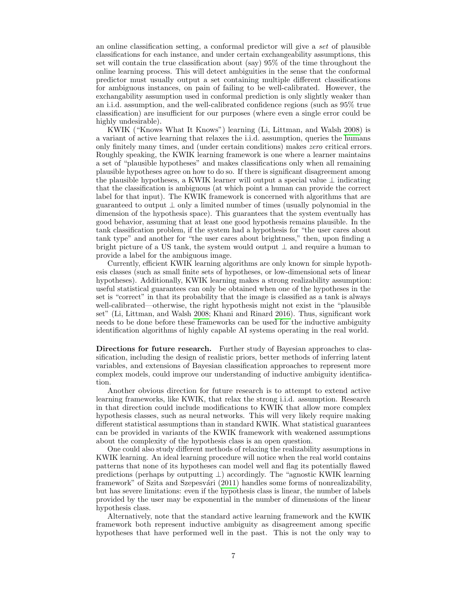an online classification setting, a conformal predictor will give a set of plausible classifications for each instance, and under certain exchangeability assumptions, this set will contain the true classification about (say) 95% of the time throughout the online learning process. This will detect ambiguities in the sense that the conformal predictor must usually output a set containing multiple different classifications for ambiguous instances, on pain of failing to be well-calibrated. However, the exchangability assumption used in conformal prediction is only slightly weaker than an i.i.d. assumption, and the well-calibrated confidence regions (such as 95% true classification) are insufficient for our purposes (where even a single error could be highly undesirable).

KWIK ("Knows What It Knows") learning (Li, Littman, and Walsh [2008\)](#page-22-0) is a variant of active learning that relaxes the i.i.d. assumption, queries the humans only finitely many times, and (under certain conditions) makes zero critical errors. Roughly speaking, the KWIK learning framework is one where a learner maintains a set of "plausible hypotheses" and makes classifications only when all remaining plausible hypotheses agree on how to do so. If there is significant disagreement among the plausible hypotheses, a KWIK learner will output a special value ⊥ indicating that the classification is ambiguous (at which point a human can provide the correct label for that input). The KWIK framework is concerned with algorithms that are guaranteed to output  $\perp$  only a limited number of times (usually polynomial in the dimension of the hypothesis space). This guarantees that the system eventually has good behavior, assuming that at least one good hypothesis remains plausible. In the tank classification problem, if the system had a hypothesis for "the user cares about tank type" and another for "the user cares about brightness," then, upon finding a bright picture of a US tank, the system would output  $\perp$  and require a human to provide a label for the ambiguous image.

Currently, efficient KWIK learning algorithms are only known for simple hypothesis classes (such as small finite sets of hypotheses, or low-dimensional sets of linear hypotheses). Additionally, KWIK learning makes a strong realizability assumption: useful statistical guarantees can only be obtained when one of the hypotheses in the set is "correct" in that its probability that the image is classified as a tank is always well-calibrated—otherwise, the right hypothesis might not exist in the "plausible set" (Li, Littman, and Walsh [2008;](#page-22-0) Khani and Rinard [2016\)](#page-21-7). Thus, significant work needs to be done before these frameworks can be used for the inductive ambiguity identification algorithms of highly capable AI systems operating in the real world.

Directions for future research. Further study of Bayesian approaches to classification, including the design of realistic priors, better methods of inferring latent variables, and extensions of Bayesian classification approaches to represent more complex models, could improve our understanding of inductive ambiguity identification.

Another obvious direction for future research is to attempt to extend active learning frameworks, like KWIK, that relax the strong i.i.d. assumption. Research in that direction could include modifications to KWIK that allow more complex hypothesis classes, such as neural networks. This will very likely require making different statistical assumptions than in standard KWIK. What statistical guarantees can be provided in variants of the KWIK framework with weakened assumptions about the complexity of the hypothesis class is an open question.

One could also study different methods of relaxing the realizability assumptions in KWIK learning. An ideal learning procedure will notice when the real world contains patterns that none of its hypotheses can model well and flag its potentially flawed predictions (perhaps by outputting ⊥) accordingly. The "agnostic KWIK learning framework" of Szita and Szepesvári [\(2011\)](#page-24-6) handles some forms of nonrealizability, but has severe limitations: even if the hypothesis class is linear, the number of labels provided by the user may be exponential in the number of dimensions of the linear hypothesis class.

Alternatively, note that the standard active learning framework and the KWIK framework both represent inductive ambiguity as disagreement among specific hypotheses that have performed well in the past. This is not the only way to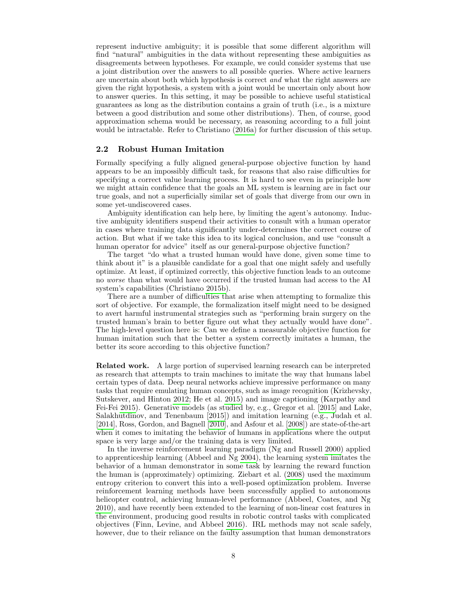represent inductive ambiguity; it is possible that some different algorithm will find "natural" ambiguities in the data without representing these ambiguities as disagreements between hypotheses. For example, we could consider systems that use a joint distribution over the answers to all possible queries. Where active learners are uncertain about both which hypothesis is correct and what the right answers are given the right hypothesis, a system with a joint would be uncertain only about how to answer queries. In this setting, it may be possible to achieve useful statistical guarantees as long as the distribution contains a grain of truth (i.e., is a mixture between a good distribution and some other distributions). Then, of course, good approximation schema would be necessary, as reasoning according to a full joint would be intractable. Refer to Christiano [\(2016a\)](#page-20-7) for further discussion of this setup.

#### <span id="page-7-0"></span>2.2 Robust Human Imitation

Formally specifying a fully aligned general-purpose objective function by hand appears to be an impossibly difficult task, for reasons that also raise difficulties for specifying a correct value learning process. It is hard to see even in principle how we might attain confidence that the goals an ML system is learning are in fact our true goals, and not a superficially similar set of goals that diverge from our own in some yet-undiscovered cases.

Ambiguity identification can help here, by limiting the agent's autonomy. Inductive ambiguity identifiers suspend their activities to consult with a human operator in cases where training data significantly under-determines the correct course of action. But what if we take this idea to its logical conclusion, and use "consult a human operator for advice" itself as our general-purpose objective function?

The target "do what a trusted human would have done, given some time to think about it" is a plausible candidate for a goal that one might safely and usefully optimize. At least, if optimized correctly, this objective function leads to an outcome no worse than what would have occurred if the trusted human had access to the AI system's capabilities (Christiano [2015b\)](#page-20-8).

There are a number of difficulties that arise when attempting to formalize this sort of objective. For example, the formalization itself might need to be designed to avert harmful instrumental strategies such as "performing brain surgery on the trusted human's brain to better figure out what they actually would have done". The high-level question here is: Can we define a measurable objective function for human imitation such that the better a system correctly imitates a human, the better its score according to this objective function?

Related work. A large portion of supervised learning research can be interpreted as research that attempts to train machines to imitate the way that humans label certain types of data. Deep neural networks achieve impressive performance on many tasks that require emulating human concepts, such as image recognition (Krizhevsky, Sutskever, and Hinton [2012;](#page-22-8) He et al. [2015\)](#page-21-8) and image captioning (Karpathy and Fei-Fei [2015\)](#page-21-9). Generative models (as studied by, e.g., Gregor et al. [\[2015\]](#page-21-10) and Lake, Salakhutdinov, and Tenenbaum [\[2015\]](#page-22-2)) and imitation learning (e.g., Judah et al. [\[2014\]](#page-21-11), Ross, Gordon, and Bagnell [\[2010\]](#page-23-6), and Asfour et al. [\[2008\]](#page-19-3)) are state-of-the-art when it comes to imitating the behavior of humans in applications where the output space is very large and/or the training data is very limited.

In the inverse reinforcement learning paradigm (Ng and Russell [2000\)](#page-22-9) applied to apprenticeship learning (Abbeel and Ng [2004\)](#page-19-4), the learning system imitates the behavior of a human demonstrator in some task by learning the reward function the human is (approximately) optimizing. Ziebart et al. [\(2008\)](#page-24-7) used the maximum entropy criterion to convert this into a well-posed optimization problem. Inverse reinforcement learning methods have been successfully applied to autonomous helicopter control, achieving human-level performance (Abbeel, Coates, and Ng [2010\)](#page-19-5), and have recently been extended to the learning of non-linear cost features in the environment, producing good results in robotic control tasks with complicated objectives (Finn, Levine, and Abbeel [2016\)](#page-20-9). IRL methods may not scale safely, however, due to their reliance on the faulty assumption that human demonstrators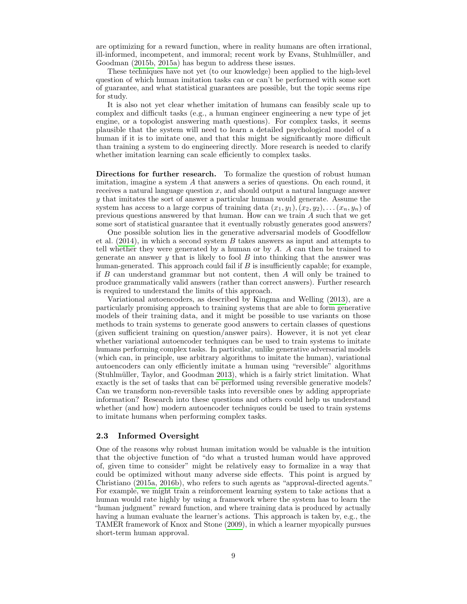are optimizing for a reward function, where in reality humans are often irrational, ill-informed, incompetent, and immoral; recent work by Evans, Stuhlmüller, and Goodman [\(2015b,](#page-20-10) [2015a\)](#page-20-11) has begun to address these issues.

These techniques have not yet (to our knowledge) been applied to the high-level question of which human imitation tasks can or can't be performed with some sort of guarantee, and what statistical guarantees are possible, but the topic seems ripe for study.

It is also not yet clear whether imitation of humans can feasibly scale up to complex and difficult tasks (e.g., a human engineer engineering a new type of jet engine, or a topologist answering math questions). For complex tasks, it seems plausible that the system will need to learn a detailed psychological model of a human if it is to imitate one, and that this might be significantly more difficult than training a system to do engineering directly. More research is needed to clarify whether imitation learning can scale efficiently to complex tasks.

Directions for further research. To formalize the question of robust human imitation, imagine a system A that answers a series of questions. On each round, it receives a natural language question x, and should output a natural language answer y that imitates the sort of answer a particular human would generate. Assume the system has access to a large corpus of training data  $(x_1, y_1), (x_2, y_2), \ldots, (x_n, y_n)$  of previous questions answered by that human. How can we train A such that we get some sort of statistical guarantee that it eventually robustly generates good answers?

One possible solution lies in the generative adversarial models of Goodfellow et al.  $(2014)$ , in which a second system B takes answers as input and attempts to tell whether they were generated by a human or by  $A$ .  $A$  can then be trained to generate an answer  $\gamma$  that is likely to fool  $B$  into thinking that the answer was human-generated. This approach could fail if  $B$  is insufficiently capable; for example, if B can understand grammar but not content, then A will only be trained to produce grammatically valid answers (rather than correct answers). Further research is required to understand the limits of this approach.

Variational autoencoders, as described by Kingma and Welling [\(2013\)](#page-22-10), are a particularly promising approach to training systems that are able to form generative models of their training data, and it might be possible to use variants on those methods to train systems to generate good answers to certain classes of questions (given sufficient training on question/answer pairs). However, it is not yet clear whether variational autoencoder techniques can be used to train systems to imitate humans performing complex tasks. In particular, unlike generative adversarial models (which can, in principle, use arbitrary algorithms to imitate the human), variational autoencoders can only efficiently imitate a human using "reversible" algorithms (Stuhlm¨uller, Taylor, and Goodman [2013\)](#page-24-8), which is a fairly strict limitation. What exactly is the set of tasks that can be performed using reversible generative models? Can we transform non-reversible tasks into reversible ones by adding appropriate information? Research into these questions and others could help us understand whether (and how) modern autoencoder techniques could be used to train systems to imitate humans when performing complex tasks.

### <span id="page-8-0"></span>2.3 Informed Oversight

One of the reasons why robust human imitation would be valuable is the intuition that the objective function of "do what a trusted human would have approved of, given time to consider" might be relatively easy to formalize in a way that could be optimized without many adverse side effects. This point is argued by Christiano [\(2015a,](#page-20-12) [2016b\)](#page-20-13), who refers to such agents as "approval-directed agents." For example, we might train a reinforcement learning system to take actions that a human would rate highly by using a framework where the system has to learn the "human judgment" reward function, and where training data is produced by actually having a human evaluate the learner's actions. This approach is taken by, e.g., the TAMER framework of Knox and Stone [\(2009\)](#page-22-11), in which a learner myopically pursues short-term human approval.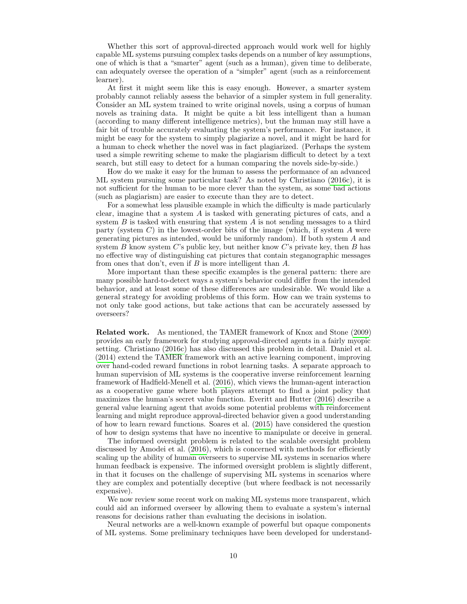Whether this sort of approval-directed approach would work well for highly capable ML systems pursuing complex tasks depends on a number of key assumptions, one of which is that a "smarter" agent (such as a human), given time to deliberate, can adequately oversee the operation of a "simpler" agent (such as a reinforcement learner).

At first it might seem like this is easy enough. However, a smarter system probably cannot reliably assess the behavior of a simpler system in full generality. Consider an ML system trained to write original novels, using a corpus of human novels as training data. It might be quite a bit less intelligent than a human (according to many different intelligence metrics), but the human may still have a fair bit of trouble accurately evaluating the system's performance. For instance, it might be easy for the system to simply plagiarize a novel, and it might be hard for a human to check whether the novel was in fact plagiarized. (Perhaps the system used a simple rewriting scheme to make the plagiarism difficult to detect by a text search, but still easy to detect for a human comparing the novels side-by-side.)

How do we make it easy for the human to assess the performance of an advanced ML system pursuing some particular task? As noted by Christiano [\(2016c\)](#page-20-14), it is not sufficient for the human to be more clever than the system, as some bad actions (such as plagiarism) are easier to execute than they are to detect.

For a somewhat less plausible example in which the difficulty is made particularly clear, imagine that a system A is tasked with generating pictures of cats, and a system  $B$  is tasked with ensuring that system  $A$  is not sending messages to a third party (system  $C$ ) in the lowest-order bits of the image (which, if system  $A$  were generating pictures as intended, would be uniformly random). If both system A and system  $B$  know system  $C$ 's public key, but neither know  $C$ 's private key, then  $B$  has no effective way of distinguishing cat pictures that contain steganographic messages from ones that don't, even if  $B$  is more intelligent than  $A$ .

More important than these specific examples is the general pattern: there are many possible hard-to-detect ways a system's behavior could differ from the intended behavior, and at least some of these differences are undesirable. We would like a general strategy for avoiding problems of this form. How can we train systems to not only take good actions, but take actions that can be accurately assessed by overseers?

Related work. As mentioned, the TAMER framework of Knox and Stone [\(2009\)](#page-22-11) provides an early framework for studying approval-directed agents in a fairly myopic setting. Christiano [\(2016c\)](#page-20-14) has also discussed this problem in detail. Daniel et al. [\(2014\)](#page-20-15) extend the TAMER framework with an active learning component, improving over hand-coded reward functions in robot learning tasks. A separate approach to human supervision of ML systems is the cooperative inverse reinforcement learning framework of Hadfield-Menell et al. [\(2016\)](#page-21-13), which views the human-agent interaction as a cooperative game where both players attempt to find a joint policy that maximizes the human's secret value function. Everitt and Hutter [\(2016\)](#page-20-16) describe a general value learning agent that avoids some potential problems with reinforcement learning and might reproduce approval-directed behavior given a good understanding of how to learn reward functions. Soares et al. [\(2015\)](#page-24-0) have considered the question of how to design systems that have no incentive to manipulate or deceive in general.

The informed oversight problem is related to the scalable oversight problem discussed by Amodei et al. [\(2016\)](#page-19-2), which is concerned with methods for efficiently scaling up the ability of human overseers to supervise ML systems in scenarios where human feedback is expensive. The informed oversight problem is slightly different, in that it focuses on the challenge of supervising ML systems in scenarios where they are complex and potentially deceptive (but where feedback is not necessarily expensive).

We now review some recent work on making ML systems more transparent, which could aid an informed overseer by allowing them to evaluate a system's internal reasons for decisions rather than evaluating the decisions in isolation.

Neural networks are a well-known example of powerful but opaque components of ML systems. Some preliminary techniques have been developed for understand-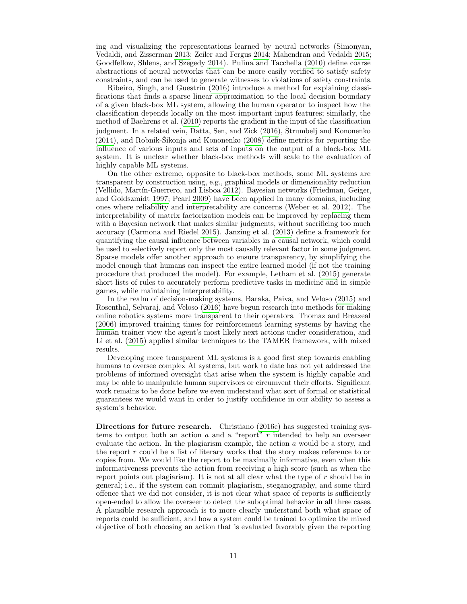ing and visualizing the representations learned by neural networks (Simonyan, Vedaldi, and Zisserman [2013;](#page-24-9) Zeiler and Fergus [2014;](#page-24-10) Mahendran and Vedaldi [2015;](#page-22-12) Goodfellow, Shlens, and Szegedy [2014\)](#page-21-2). Pulina and Tacchella [\(2010\)](#page-23-7) define coarse abstractions of neural networks that can be more easily verified to satisfy safety constraints, and can be used to generate witnesses to violations of safety constraints.

Ribeiro, Singh, and Guestrin [\(2016\)](#page-23-8) introduce a method for explaining classifications that finds a sparse linear approximation to the local decision boundary of a given black-box ML system, allowing the human operator to inspect how the classification depends locally on the most important input features; similarly, the method of Baehrens et al. [\(2010\)](#page-19-6) reports the gradient in the input of the classification judgment. In a related vein, Datta, Sen, and Zick [\(2016\)](#page-20-17), Strumbelj and Kononenko  $(2014)$ , and Robnik-Šikonja and Kononenko  $(2008)$  define metrics for reporting the influence of various inputs and sets of inputs on the output of a black-box ML system. It is unclear whether black-box methods will scale to the evaluation of highly capable ML systems.

On the other extreme, opposite to black-box methods, some ML systems are transparent by construction using, e.g., graphical models or dimensionality reduction (Vellido, Mart´ın-Guerrero, and Lisboa [2012\)](#page-24-12). Bayesian networks (Friedman, Geiger, and Goldszmidt [1997;](#page-21-14) Pearl [2009\)](#page-23-10) have been applied in many domains, including ones where reliability and interpretability are concerns (Weber et al. [2012\)](#page-24-13). The interpretability of matrix factorization models can be improved by replacing them with a Bayesian network that makes similar judgments, without sacrificing too much accuracy (Carmona and Riedel [2015\)](#page-20-18). Janzing et al. [\(2013\)](#page-21-15) define a framework for quantifying the causal influence between variables in a causal network, which could be used to selectively report only the most causally relevant factor in some judgment. Sparse models offer another approach to ensure transparency, by simplifying the model enough that humans can inspect the entire learned model (if not the training procedure that produced the model). For example, Letham et al. [\(2015\)](#page-22-13) generate short lists of rules to accurately perform predictive tasks in medicine and in simple games, while maintaining interpretability.

In the realm of decision-making systems, Baraka, Paiva, and Veloso [\(2015\)](#page-19-7) and Rosenthal, Selvaraj, and Veloso [\(2016\)](#page-23-11) have begun research into methods for making online robotics systems more transparent to their operators. Thomaz and Breazeal [\(2006\)](#page-24-14) improved training times for reinforcement learning systems by having the human trainer view the agent's most likely next actions under consideration, and Li et al. [\(2015\)](#page-22-14) applied similar techniques to the TAMER framework, with mixed results.

Developing more transparent ML systems is a good first step towards enabling humans to oversee complex AI systems, but work to date has not yet addressed the problems of informed oversight that arise when the system is highly capable and may be able to manipulate human supervisors or circumvent their efforts. Significant work remains to be done before we even understand what sort of formal or statistical guarantees we would want in order to justify confidence in our ability to assess a system's behavior.

Directions for future research. Christiano [\(2016c\)](#page-20-14) has suggested training systems to output both an action  $a$  and a "report"  $r$  intended to help an overseer evaluate the action. In the plagiarism example, the action  $a$  would be a story, and the report  $r$  could be a list of literary works that the story makes reference to or copies from. We would like the report to be maximally informative, even when this informativeness prevents the action from receiving a high score (such as when the report points out plagiarism). It is not at all clear what the type of  $r$  should be in general; i.e., if the system can commit plagiarism, steganography, and some third offence that we did not consider, it is not clear what space of reports is sufficiently open-ended to allow the overseer to detect the suboptimal behavior in all three cases. A plausible research approach is to more clearly understand both what space of reports could be sufficient, and how a system could be trained to optimize the mixed objective of both choosing an action that is evaluated favorably given the reporting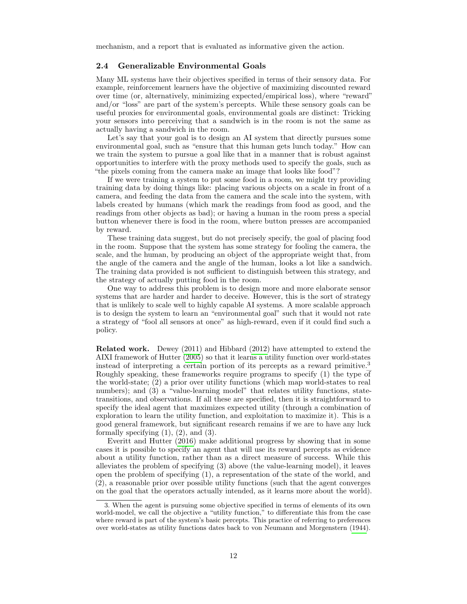mechanism, and a report that is evaluated as informative given the action.

### <span id="page-11-0"></span>2.4 Generalizable Environmental Goals

Many ML systems have their objectives specified in terms of their sensory data. For example, reinforcement learners have the objective of maximizing discounted reward over time (or, alternatively, minimizing expected/empirical loss), where "reward" and/or "loss" are part of the system's percepts. While these sensory goals can be useful proxies for environmental goals, environmental goals are distinct: Tricking your sensors into perceiving that a sandwich is in the room is not the same as actually having a sandwich in the room.

Let's say that your goal is to design an AI system that directly pursues some environmental goal, such as "ensure that this human gets lunch today." How can we train the system to pursue a goal like that in a manner that is robust against opportunities to interfere with the proxy methods used to specify the goals, such as "the pixels coming from the camera make an image that looks like food"?

If we were training a system to put some food in a room, we might try providing training data by doing things like: placing various objects on a scale in front of a camera, and feeding the data from the camera and the scale into the system, with labels created by humans (which mark the readings from food as good, and the readings from other objects as bad); or having a human in the room press a special button whenever there is food in the room, where button presses are accompanied by reward.

These training data suggest, but do not precisely specify, the goal of placing food in the room. Suppose that the system has some strategy for fooling the camera, the scale, and the human, by producing an object of the appropriate weight that, from the angle of the camera and the angle of the human, looks a lot like a sandwich. The training data provided is not sufficient to distinguish between this strategy, and the strategy of actually putting food in the room.

One way to address this problem is to design more and more elaborate sensor systems that are harder and harder to deceive. However, this is the sort of strategy that is unlikely to scale well to highly capable AI systems. A more scalable approach is to design the system to learn an "environmental goal" such that it would not rate a strategy of "fool all sensors at once" as high-reward, even if it could find such a policy.

Related work. Dewey [\(2011\)](#page-20-19) and Hibbard [\(2012\)](#page-21-16) have attempted to extend the AIXI framework of Hutter [\(2005\)](#page-21-17) so that it learns a utility function over world-states instead of interpreting a certain portion of its percepts as a reward primitive.<sup>[3](#page-11-1)</sup> Roughly speaking, these frameworks require programs to specify (1) the type of the world-state; (2) a prior over utility functions (which map world-states to real numbers); and (3) a "value-learning model" that relates utility functions, statetransitions, and observations. If all these are specified, then it is straightforward to specify the ideal agent that maximizes expected utility (through a combination of exploration to learn the utility function, and exploitation to maximize it). This is a good general framework, but significant research remains if we are to have any luck formally specifying  $(1)$ ,  $(2)$ , and  $(3)$ .

Everitt and Hutter [\(2016\)](#page-20-16) make additional progress by showing that in some cases it is possible to specify an agent that will use its reward percepts as evidence about a utility function, rather than as a direct measure of success. While this alleviates the problem of specifying (3) above (the value-learning model), it leaves open the problem of specifying (1), a representation of the state of the world, and (2), a reasonable prior over possible utility functions (such that the agent converges on the goal that the operators actually intended, as it learns more about the world).

<span id="page-11-1"></span><sup>3.</sup> When the agent is pursuing some objective specified in terms of elements of its own world-model, we call the objective a "utility function," to differentiate this from the case where reward is part of the system's basic percepts. This practice of referring to preferences over world-states as utility functions dates back to von Neumann and Morgenstern [\(1944\)](#page-24-15).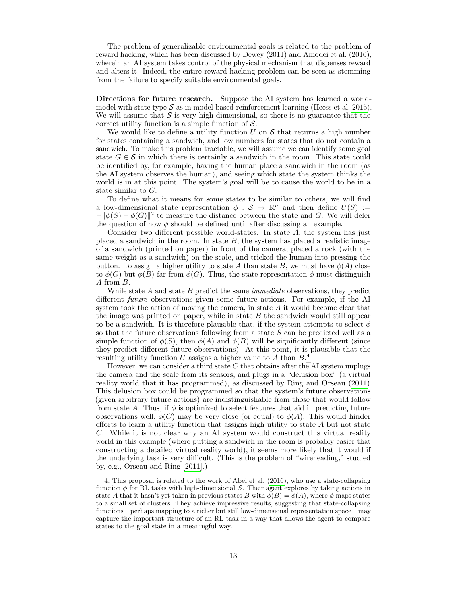The problem of generalizable environmental goals is related to the problem of reward hacking, which has been discussed by Dewey [\(2011\)](#page-20-19) and Amodei et al. [\(2016\)](#page-19-2), wherein an AI system takes control of the physical mechanism that dispenses reward and alters it. Indeed, the entire reward hacking problem can be seen as stemming from the failure to specify suitable environmental goals.

Directions for future research. Suppose the AI system has learned a worldmodel with state type  $S$  as in model-based reinforcement learning (Heess et al. [2015\)](#page-21-18). We will assume that  $S$  is very high-dimensional, so there is no guarantee that the correct utility function is a simple function of  $S$ .

We would like to define a utility function U on S that returns a high number for states containing a sandwich, and low numbers for states that do not contain a sandwich. To make this problem tractable, we will assume we can identify some goal state  $G \in \mathcal{S}$  in which there is certainly a sandwich in the room. This state could be identified by, for example, having the human place a sandwich in the room (as the AI system observes the human), and seeing which state the system thinks the world is in at this point. The system's goal will be to cause the world to be in a state similar to G.

To define what it means for some states to be similar to others, we will find a low-dimensional state representation  $\phi : \mathcal{S} \to \mathbb{R}^n$  and then define  $U(S) :=$  $-\|\phi(S) - \phi(G)\|^2$  to measure the distance between the state and G. We will defer the question of how  $\phi$  should be defined until after discussing an example.

Consider two different possible world-states. In state A, the system has just placed a sandwich in the room. In state  $B$ , the system has placed a realistic image of a sandwich (printed on paper) in front of the camera, placed a rock (with the same weight as a sandwich) on the scale, and tricked the human into pressing the button. To assign a higher utility to state A than state B, we must have  $\phi(A)$  close to  $\phi(G)$  but  $\phi(B)$  far from  $\phi(G)$ . Thus, the state representation  $\phi$  must distinguish A from B.

While state A and state B predict the same *immediate* observations, they predict different future observations given some future actions. For example, if the AI system took the action of moving the camera, in state  $A$  it would become clear that the image was printed on paper, while in state  $B$  the sandwich would still appear to be a sandwich. It is therefore plausible that, if the system attempts to select  $\phi$ so that the future observations following from a state  $S$  can be predicted well as a simple function of  $\phi(S)$ , then  $\phi(A)$  and  $\phi(B)$  will be significantly different (since they predict different future observations). At this point, it is plausible that the resulting utility function U assigns a higher value to A than  $B^4$  $B^4$ .

However, we can consider a third state  $C$  that obtains after the AI system unplugs the camera and the scale from its sensors, and plugs in a "delusion box" (a virtual reality world that it has programmed), as discussed by Ring and Orseau [\(2011\)](#page-23-12). This delusion box could be programmed so that the system's future observations (given arbitrary future actions) are indistinguishable from those that would follow from state A. Thus, if  $\phi$  is optimized to select features that aid in predicting future observations well,  $\phi(C)$  may be very close (or equal) to  $\phi(A)$ . This would hinder efforts to learn a utility function that assigns high utility to state  $A$  but not state C. While it is not clear why an AI system would construct this virtual reality world in this example (where putting a sandwich in the room is probably easier that constructing a detailed virtual reality world), it seems more likely that it would if the underlying task is very difficult. (This is the problem of "wireheading," studied by, e.g., Orseau and Ring [\[2011\]](#page-23-13).)

<span id="page-12-0"></span><sup>4.</sup> This proposal is related to the work of Abel et al. [\(2016\)](#page-19-8), who use a state-collapsing function  $\phi$  for RL tasks with high-dimensional S. Their agent explores by taking actions in state A that it hasn't yet taken in previous states B with  $\phi(B) = \phi(A)$ , where  $\phi$  maps states to a small set of clusters. They achieve impressive results, suggesting that state-collapsing functions—perhaps mapping to a richer but still low-dimensional representation space—may capture the important structure of an RL task in a way that allows the agent to compare states to the goal state in a meaningful way.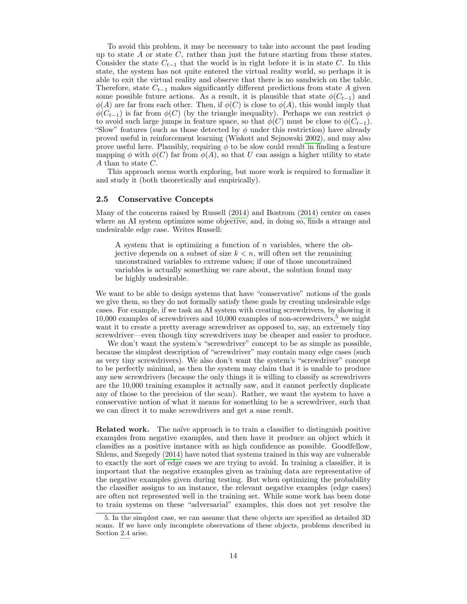To avoid this problem, it may be necessary to take into account the past leading up to state  $A$  or state  $C$ , rather than just the future starting from these states. Consider the state  $C_{t-1}$  that the world is in right before it is in state C. In this state, the system has not quite entered the virtual reality world, so perhaps it is able to exit the virtual reality and observe that there is no sandwich on the table. Therefore, state  $C_{t-1}$  makes significantly different predictions from state A given some possible future actions. As a result, it is plausible that state  $\phi(C_{t-1})$  and  $\phi(A)$  are far from each other. Then, if  $\phi(C)$  is close to  $\phi(A)$ , this would imply that  $\phi(C_{t-1})$  is far from  $\phi(C)$  (by the triangle inequality). Perhaps we can restrict  $\phi$ to avoid such large jumps in feature space, so that  $\phi(C)$  must be close to  $\phi(C_{t-1})$ . "Slow" features (such as those detected by  $\phi$  under this restriction) have already proved useful in reinforcement learning (Wiskott and Sejnowski [2002\)](#page-24-16), and may also prove useful here. Plausibly, requiring  $\phi$  to be slow could result in finding a feature mapping  $\phi$  with  $\phi(C)$  far from  $\phi(A)$ , so that U can assign a higher utility to state  $A$  than to state  $C$ .

This approach seems worth exploring, but more work is required to formalize it and study it (both theoretically and empirically).

## <span id="page-13-0"></span>2.5 Conservative Concepts

Many of the concerns raised by Russell [\(2014\)](#page-23-1) and Bostrom [\(2014\)](#page-20-0) center on cases where an AI system optimizes some objective, and, in doing so, finds a strange and undesirable edge case. Writes Russell:

A system that is optimizing a function of n variables, where the objective depends on a subset of size  $k < n$ , will often set the remaining unconstrained variables to extreme values; if one of those unconstrained variables is actually something we care about, the solution found may be highly undesirable.

We want to be able to design systems that have "conservative" notions of the goals we give them, so they do not formally satisfy these goals by creating undesirable edge cases. For example, if we task an AI system with creating screwdrivers, by showing it 10,000 examples of screwdrivers and 10,000 examples of non-screwdrivers,<sup>[5](#page-13-1)</sup> we might want it to create a pretty average screwdriver as opposed to, say, an extremely tiny screwdriver—even though tiny screwdrivers may be cheaper and easier to produce.

We don't want the system's "screwdriver" concept to be as simple as possible, because the simplest description of "screwdriver" may contain many edge cases (such as very tiny screwdrivers). We also don't want the system's "screwdriver" concept to be perfectly minimal, as then the system may claim that it is unable to produce any new screwdrivers (because the only things it is willing to classify as screwdrivers are the 10,000 training examples it actually saw, and it cannot perfectly duplicate any of those to the precision of the scan). Rather, we want the system to have a conservative notion of what it means for something to be a screwdriver, such that we can direct it to make screwdrivers and get a sane result.

**Related work.** The naïve approach is to train a classifier to distinguish positive examples from negative examples, and then have it produce an object which it classifies as a positive instance with as high confidence as possible. Goodfellow, Shlens, and Szegedy [\(2014\)](#page-21-2) have noted that systems trained in this way are vulnerable to exactly the sort of edge cases we are trying to avoid. In training a classifier, it is important that the negative examples given as training data are representative of the negative examples given during testing. But when optimizing the probability the classifier assigns to an instance, the relevant negative examples (edge cases) are often not represented well in the training set. While some work has been done to train systems on these "adversarial" examples, this does not yet resolve the

<span id="page-13-1"></span><sup>5.</sup> In the simplest case, we can assume that these objects are specified as detailed 3D scans. If we have only incomplete observations of these objects, problems described in Section [2.4](#page-11-0) arise.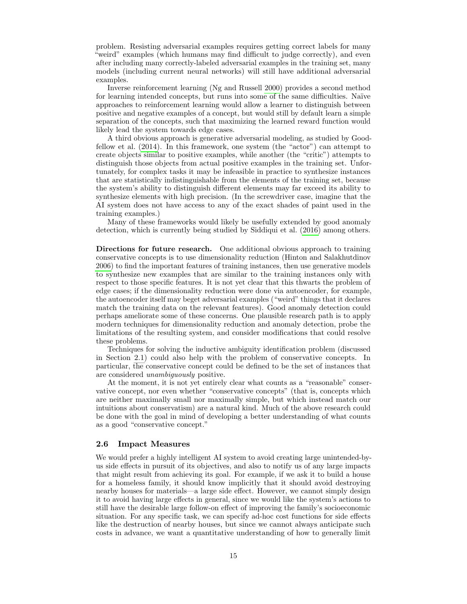problem. Resisting adversarial examples requires getting correct labels for many "weird" examples (which humans may find difficult to judge correctly), and even after including many correctly-labeled adversarial examples in the training set, many models (including current neural networks) will still have additional adversarial examples.

Inverse reinforcement learning (Ng and Russell [2000\)](#page-22-9) provides a second method for learning intended concepts, but runs into some of the same difficulties. Naïve approaches to reinforcement learning would allow a learner to distinguish between positive and negative examples of a concept, but would still by default learn a simple separation of the concepts, such that maximizing the learned reward function would likely lead the system towards edge cases.

A third obvious approach is generative adversarial modeling, as studied by Goodfellow et al. [\(2014\)](#page-21-12). In this framework, one system (the "actor") can attempt to create objects similar to positive examples, while another (the "critic") attempts to distinguish those objects from actual positive examples in the training set. Unfortunately, for complex tasks it may be infeasible in practice to synthesize instances that are statistically indistinguishable from the elements of the training set, because the system's ability to distinguish different elements may far exceed its ability to synthesize elements with high precision. (In the screwdriver case, imagine that the AI system does not have access to any of the exact shades of paint used in the training examples.)

Many of these frameworks would likely be usefully extended by good anomaly detection, which is currently being studied by Siddiqui et al. [\(2016\)](#page-23-14) among others.

Directions for future research. One additional obvious approach to training conservative concepts is to use dimensionality reduction (Hinton and Salakhutdinov [2006\)](#page-21-19) to find the important features of training instances, then use generative models to synthesize new examples that are similar to the training instances only with respect to those specific features. It is not yet clear that this thwarts the problem of edge cases; if the dimensionality reduction were done via autoencoder, for example, the autoencoder itself may beget adversarial examples ("weird" things that it declares match the training data on the relevant features). Good anomaly detection could perhaps ameliorate some of these concerns. One plausible research path is to apply modern techniques for dimensionality reduction and anomaly detection, probe the limitations of the resulting system, and consider modifications that could resolve these problems.

Techniques for solving the inductive ambiguity identification problem (discussed in Section [2.1\)](#page-4-0) could also help with the problem of conservative concepts. In particular, the conservative concept could be defined to be the set of instances that are considered unambiguously positive.

At the moment, it is not yet entirely clear what counts as a "reasonable" conservative concept, nor even whether "conservative concepts" (that is, concepts which are neither maximally small nor maximally simple, but which instead match our intuitions about conservatism) are a natural kind. Much of the above research could be done with the goal in mind of developing a better understanding of what counts as a good "conservative concept."

#### <span id="page-14-0"></span>2.6 Impact Measures

We would prefer a highly intelligent AI system to avoid creating large unintended-byus side effects in pursuit of its objectives, and also to notify us of any large impacts that might result from achieving its goal. For example, if we ask it to build a house for a homeless family, it should know implicitly that it should avoid destroying nearby houses for materials—a large side effect. However, we cannot simply design it to avoid having large effects in general, since we would like the system's actions to still have the desirable large follow-on effect of improving the family's socioeconomic situation. For any specific task, we can specify ad-hoc cost functions for side effects like the destruction of nearby houses, but since we cannot always anticipate such costs in advance, we want a quantitative understanding of how to generally limit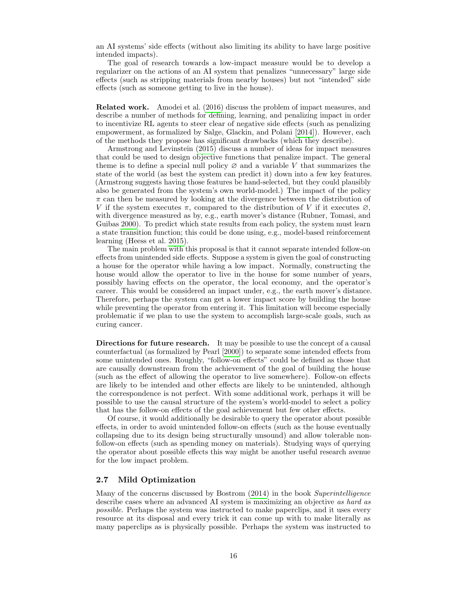an AI systems' side effects (without also limiting its ability to have large positive intended impacts).

The goal of research towards a low-impact measure would be to develop a regularizer on the actions of an AI system that penalizes "unnecessary" large side effects (such as stripping materials from nearby houses) but not "intended" side effects (such as someone getting to live in the house).

Related work. Amodei et al. [\(2016\)](#page-19-2) discuss the problem of impact measures, and describe a number of methods for defining, learning, and penalizing impact in order to incentivize RL agents to steer clear of negative side effects (such as penalizing empowerment, as formalized by Salge, Glackin, and Polani [\[2014\]](#page-23-15)). However, each of the methods they propose has significant drawbacks (which they describe).

Armstrong and Levinstein [\(2015\)](#page-19-9) discuss a number of ideas for impact measures that could be used to design objective functions that penalize impact. The general theme is to define a special null policy  $\varnothing$  and a variable V that summarizes the state of the world (as best the system can predict it) down into a few key features. (Armstrong suggests having those features be hand-selected, but they could plausibly also be generated from the system's own world-model.) The impact of the policy  $\pi$  can then be measured by looking at the divergence between the distribution of V if the system executes  $\pi$ , compared to the distribution of V if it executes  $\varnothing$ , with divergence measured as by, e.g., earth mover's distance (Rubner, Tomasi, and Guibas [2000\)](#page-23-16). To predict which state results from each policy, the system must learn a state transition function; this could be done using, e.g., model-based reinforcement learning (Heess et al. [2015\)](#page-21-18).

The main problem with this proposal is that it cannot separate intended follow-on effects from unintended side effects. Suppose a system is given the goal of constructing a house for the operator while having a low impact. Normally, constructing the house would allow the operator to live in the house for some number of years, possibly having effects on the operator, the local economy, and the operator's career. This would be considered an impact under, e.g., the earth mover's distance. Therefore, perhaps the system can get a lower impact score by building the house while preventing the operator from entering it. This limitation will become especially problematic if we plan to use the system to accomplish large-scale goals, such as curing cancer.

Directions for future research. It may be possible to use the concept of a causal counterfactual (as formalized by Pearl [\[2000\]](#page-23-17)) to separate some intended effects from some unintended ones. Roughly, "follow-on effects" could be defined as those that are causally downstream from the achievement of the goal of building the house (such as the effect of allowing the operator to live somewhere). Follow-on effects are likely to be intended and other effects are likely to be unintended, although the correspondence is not perfect. With some additional work, perhaps it will be possible to use the causal structure of the system's world-model to select a policy that has the follow-on effects of the goal achievement but few other effects.

Of course, it would additionally be desirable to query the operator about possible effects, in order to avoid unintended follow-on effects (such as the house eventually collapsing due to its design being structurally unsound) and allow tolerable nonfollow-on effects (such as spending money on materials). Studying ways of querying the operator about possible effects this way might be another useful research avenue for the low impact problem.

## <span id="page-15-0"></span>2.7 Mild Optimization

Many of the concerns discussed by Bostrom [\(2014\)](#page-20-0) in the book Superintelligence describe cases where an advanced AI system is maximizing an objective as hard as possible. Perhaps the system was instructed to make paperclips, and it uses every resource at its disposal and every trick it can come up with to make literally as many paperclips as is physically possible. Perhaps the system was instructed to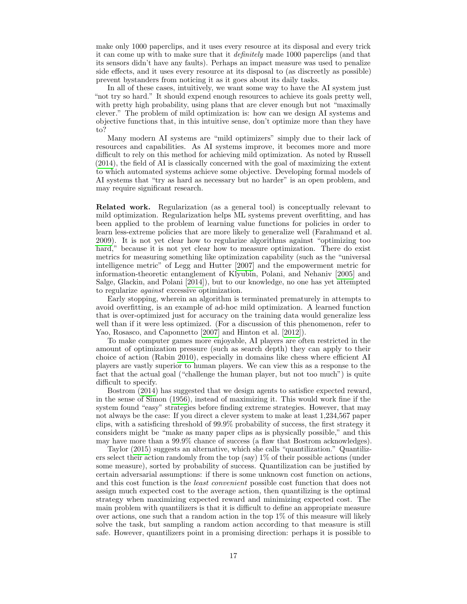make only 1000 paperclips, and it uses every resource at its disposal and every trick it can come up with to make sure that it definitely made 1000 paperclips (and that its sensors didn't have any faults). Perhaps an impact measure was used to penalize side effects, and it uses every resource at its disposal to (as discreetly as possible) prevent bystanders from noticing it as it goes about its daily tasks.

In all of these cases, intuitively, we want some way to have the AI system just "not try so hard." It should expend enough resources to achieve its goals pretty well, with pretty high probability, using plans that are clever enough but not "maximally clever." The problem of mild optimization is: how can we design AI systems and objective functions that, in this intuitive sense, don't optimize more than they have to?

Many modern AI systems are "mild optimizers" simply due to their lack of resources and capabilities. As AI systems improve, it becomes more and more difficult to rely on this method for achieving mild optimization. As noted by Russell [\(2014\)](#page-23-1), the field of AI is classically concerned with the goal of maximizing the extent to which automated systems achieve some objective. Developing formal models of AI systems that "try as hard as necessary but no harder" is an open problem, and may require significant research.

Related work. Regularization (as a general tool) is conceptually relevant to mild optimization. Regularization helps ML systems prevent overfitting, and has been applied to the problem of learning value functions for policies in order to learn less-extreme policies that are more likely to generalize well (Farahmand et al. [2009\)](#page-20-20). It is not yet clear how to regularize algorithms against "optimizing too hard," because it is not yet clear how to measure optimization. There do exist metrics for measuring something like optimization capability (such as the "universal intelligence metric" of Legg and Hutter [\[2007\]](#page-22-15) and the empowerment metric for information-theoretic entanglement of Klyubin, Polani, and Nehaniv [\[2005\]](#page-22-16) and Salge, Glackin, and Polani [\[2014\]](#page-23-15)), but to our knowledge, no one has yet attempted to regularize against excessive optimization.

Early stopping, wherein an algorithm is terminated prematurely in attempts to avoid overfitting, is an example of ad-hoc mild optimization. A learned function that is over-optimized just for accuracy on the training data would generalize less well than if it were less optimized. (For a discussion of this phenomenon, refer to Yao, Rosasco, and Caponnetto [\[2007\]](#page-24-17) and Hinton et al. [\[2012\]](#page-21-20)).

To make computer games more enjoyable, AI players are often restricted in the amount of optimization pressure (such as search depth) they can apply to their choice of action (Rabin [2010\)](#page-23-18), especially in domains like chess where efficient AI players are vastly superior to human players. We can view this as a response to the fact that the actual goal ("challenge the human player, but not too much") is quite difficult to specify.

Bostrom [\(2014\)](#page-20-0) has suggested that we design agents to satisfice expected reward, in the sense of Simon [\(1956\)](#page-23-19), instead of maximizing it. This would work fine if the system found "easy" strategies before finding extreme strategies. However, that may not always be the case: If you direct a clever system to make at least 1,234,567 paper clips, with a satisficing threshold of 99.9% probability of success, the first strategy it considers might be "make as many paper clips as is physically possible," and this may have more than a 99.9% chance of success (a flaw that Bostrom acknowledges).

Taylor [\(2015\)](#page-24-18) suggests an alternative, which she calls "quantilization." Quantilizers select their action randomly from the top (say) 1% of their possible actions (under some measure), sorted by probability of success. Quantilization can be justified by certain adversarial assumptions: if there is some unknown cost function on actions, and this cost function is the least convenient possible cost function that does not assign much expected cost to the average action, then quantilizing is the optimal strategy when maximizing expected reward and minimizing expected cost. The main problem with quantilizers is that it is difficult to define an appropriate measure over actions, one such that a random action in the top 1% of this measure will likely solve the task, but sampling a random action according to that measure is still safe. However, quantilizers point in a promising direction: perhaps it is possible to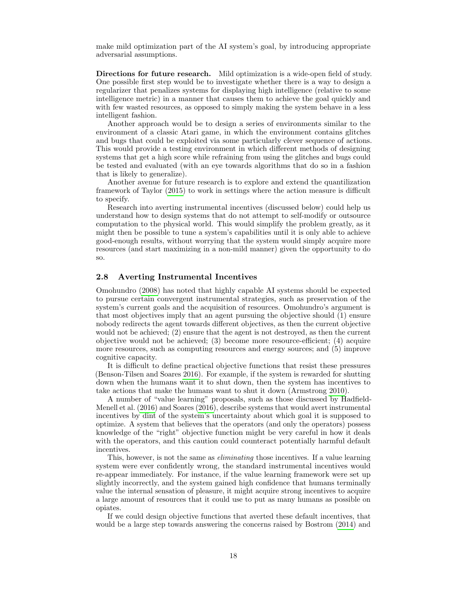make mild optimization part of the AI system's goal, by introducing appropriate adversarial assumptions.

Directions for future research. Mild optimization is a wide-open field of study. One possible first step would be to investigate whether there is a way to design a regularizer that penalizes systems for displaying high intelligence (relative to some intelligence metric) in a manner that causes them to achieve the goal quickly and with few wasted resources, as opposed to simply making the system behave in a less intelligent fashion.

Another approach would be to design a series of environments similar to the environment of a classic Atari game, in which the environment contains glitches and bugs that could be exploited via some particularly clever sequence of actions. This would provide a testing environment in which different methods of designing systems that get a high score while refraining from using the glitches and bugs could be tested and evaluated (with an eye towards algorithms that do so in a fashion that is likely to generalize).

Another avenue for future research is to explore and extend the quantilization framework of Taylor [\(2015\)](#page-24-18) to work in settings where the action measure is difficult to specify.

Research into averting instrumental incentives (discussed below) could help us understand how to design systems that do not attempt to self-modify or outsource computation to the physical world. This would simplify the problem greatly, as it might then be possible to tune a system's capabilities until it is only able to achieve good-enough results, without worrying that the system would simply acquire more resources (and start maximizing in a non-mild manner) given the opportunity to do so.

#### <span id="page-17-0"></span>2.8 Averting Instrumental Incentives

Omohundro [\(2008\)](#page-22-17) has noted that highly capable AI systems should be expected to pursue certain convergent instrumental strategies, such as preservation of the system's current goals and the acquisition of resources. Omohundro's argument is that most objectives imply that an agent pursuing the objective should (1) ensure nobody redirects the agent towards different objectives, as then the current objective would not be achieved; (2) ensure that the agent is not destroyed, as then the current objective would not be achieved; (3) become more resource-efficient; (4) acquire more resources, such as computing resources and energy sources; and (5) improve cognitive capacity.

It is difficult to define practical objective functions that resist these pressures (Benson-Tilsen and Soares [2016\)](#page-19-1). For example, if the system is rewarded for shutting down when the humans want it to shut down, then the system has incentives to take actions that make the humans want to shut it down (Armstrong [2010\)](#page-19-10).

A number of "value learning" proposals, such as those discussed by Hadfield-Menell et al. [\(2016\)](#page-21-13) and Soares [\(2016\)](#page-24-4), describe systems that would avert instrumental incentives by dint of the system's uncertainty about which goal it is supposed to optimize. A system that believes that the operators (and only the operators) possess knowledge of the "right" objective function might be very careful in how it deals with the operators, and this caution could counteract potentially harmful default incentives.

This, however, is not the same as eliminating those incentives. If a value learning system were ever confidently wrong, the standard instrumental incentives would re-appear immediately. For instance, if the value learning framework were set up slightly incorrectly, and the system gained high confidence that humans terminally value the internal sensation of pleasure, it might acquire strong incentives to acquire a large amount of resources that it could use to put as many humans as possible on opiates.

If we could design objective functions that averted these default incentives, that would be a large step towards answering the concerns raised by Bostrom [\(2014\)](#page-20-0) and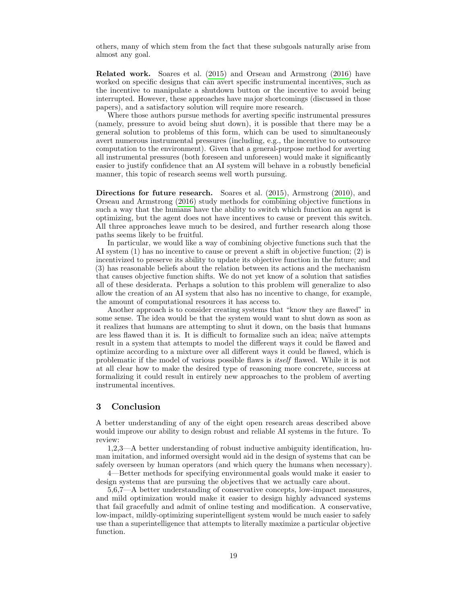others, many of which stem from the fact that these subgoals naturally arise from almost any goal.

Related work. Soares et al. [\(2015\)](#page-24-0) and Orseau and Armstrong [\(2016\)](#page-22-18) have worked on specific designs that can avert specific instrumental incentives, such as the incentive to manipulate a shutdown button or the incentive to avoid being interrupted. However, these approaches have major shortcomings (discussed in those papers), and a satisfactory solution will require more research.

Where those authors pursue methods for averting specific instrumental pressures (namely, pressure to avoid being shut down), it is possible that there may be a general solution to problems of this form, which can be used to simultaneously avert numerous instrumental pressures (including, e.g., the incentive to outsource computation to the environment). Given that a general-purpose method for averting all instrumental pressures (both foreseen and unforeseen) would make it significantly easier to justify confidence that an AI system will behave in a robustly beneficial manner, this topic of research seems well worth pursuing.

Directions for future research. Soares et al. [\(2015\)](#page-24-0), Armstrong [\(2010\)](#page-19-10), and Orseau and Armstrong [\(2016\)](#page-22-18) study methods for combining objective functions in such a way that the humans have the ability to switch which function an agent is optimizing, but the agent does not have incentives to cause or prevent this switch. All three approaches leave much to be desired, and further research along those paths seems likely to be fruitful.

In particular, we would like a way of combining objective functions such that the AI system (1) has no incentive to cause or prevent a shift in objective function; (2) is incentivized to preserve its ability to update its objective function in the future; and (3) has reasonable beliefs about the relation between its actions and the mechanism that causes objective function shifts. We do not yet know of a solution that satisfies all of these desiderata. Perhaps a solution to this problem will generalize to also allow the creation of an AI system that also has no incentive to change, for example, the amount of computational resources it has access to.

Another approach is to consider creating systems that "know they are flawed" in some sense. The idea would be that the system would want to shut down as soon as it realizes that humans are attempting to shut it down, on the basis that humans are less flawed than it is. It is difficult to formalize such an idea; naïve attempts result in a system that attempts to model the different ways it could be flawed and optimize according to a mixture over all different ways it could be flawed, which is problematic if the model of various possible flaws is itself flawed. While it is not at all clear how to make the desired type of reasoning more concrete, success at formalizing it could result in entirely new approaches to the problem of averting instrumental incentives.

# <span id="page-18-0"></span>3 Conclusion

A better understanding of any of the eight open research areas described above would improve our ability to design robust and reliable AI systems in the future. To review:

1,2,3—A better understanding of robust inductive ambiguity identification, human imitation, and informed oversight would aid in the design of systems that can be safely overseen by human operators (and which query the humans when necessary).

4—Better methods for specifying environmental goals would make it easier to design systems that are pursuing the objectives that we actually care about.

5,6,7—A better understanding of conservative concepts, low-impact measures, and mild optimization would make it easier to design highly advanced systems that fail gracefully and admit of online testing and modification. A conservative, low-impact, mildly-optimizing superintelligent system would be much easier to safely use than a superintelligence that attempts to literally maximize a particular objective function.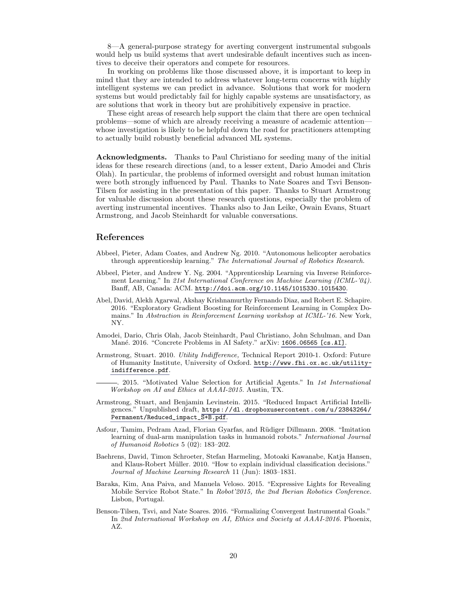8—A general-purpose strategy for averting convergent instrumental subgoals would help us build systems that avert undesirable default incentives such as incentives to deceive their operators and compete for resources.

In working on problems like those discussed above, it is important to keep in mind that they are intended to address whatever long-term concerns with highly intelligent systems we can predict in advance. Solutions that work for modern systems but would predictably fail for highly capable systems are unsatisfactory, as are solutions that work in theory but are prohibitively expensive in practice.

These eight areas of research help support the claim that there are open technical problems—some of which are already receiving a measure of academic attention whose investigation is likely to be helpful down the road for practitioners attempting to actually build robustly beneficial advanced ML systems.

Acknowledgments. Thanks to Paul Christiano for seeding many of the initial ideas for these research directions (and, to a lesser extent, Dario Amodei and Chris Olah). In particular, the problems of informed oversight and robust human imitation were both strongly influenced by Paul. Thanks to Nate Soares and Tsvi Benson-Tilsen for assisting in the presentation of this paper. Thanks to Stuart Armstrong for valuable discussion about these research questions, especially the problem of averting instrumental incentives. Thanks also to Jan Leike, Owain Evans, Stuart Armstrong, and Jacob Steinhardt for valuable conversations.

#### References

- <span id="page-19-5"></span>Abbeel, Pieter, Adam Coates, and Andrew Ng. 2010. "Autonomous helicopter aerobatics through apprenticeship learning." The International Journal of Robotics Research.
- <span id="page-19-4"></span>Abbeel, Pieter, and Andrew Y. Ng. 2004. "Apprenticeship Learning via Inverse Reinforcement Learning." In 21st International Conference on Machine Learning (ICML-'04). Banff, AB, Canada: ACM. <http://doi.acm.org/10.1145/1015330.1015430>.
- <span id="page-19-8"></span>Abel, David, Alekh Agarwal, Akshay Krishnamurthy Fernando Diaz, and Robert E. Schapire. 2016. "Exploratory Gradient Boosting for Reinforcement Learning in Complex Domains." In Abstraction in Reinforcement Learning workshop at ICML-'16. New York, NY.
- <span id="page-19-2"></span>Amodei, Dario, Chris Olah, Jacob Steinhardt, Paul Christiano, John Schulman, and Dan Mané. 2016. "Concrete Problems in AI Safety." arXiv: [1606.06565 \[cs.AI\]](http://arxiv.org/abs/1606.06565).
- <span id="page-19-10"></span>Armstrong, Stuart. 2010. Utility Indifference, Technical Report 2010-1. Oxford: Future of Humanity Institute, University of Oxford. [http://www.fhi.ox.ac.uk/utility](http://www.fhi.ox.ac.uk/utility-indifference.pdf)[indifference.pdf](http://www.fhi.ox.ac.uk/utility-indifference.pdf).
- <span id="page-19-0"></span>. 2015. "Motivated Value Selection for Artificial Agents." In 1st International Workshop on AI and Ethics at AAAI-2015. Austin, TX.
- <span id="page-19-9"></span>Armstrong, Stuart, and Benjamin Levinstein. 2015. "Reduced Impact Artificial Intelligences." Unpublished draft, [https://dl.dropboxusercontent.com/u/23843264/](https://dl.dropboxusercontent.com/u/23843264/Permanent/Reduced_impact_S+B.pdf) [Permanent/Reduced\\_impact\\_S+B.pdf](https://dl.dropboxusercontent.com/u/23843264/Permanent/Reduced_impact_S+B.pdf).
- <span id="page-19-3"></span>Asfour, Tamim, Pedram Azad, Florian Gyarfas, and R¨udiger Dillmann. 2008. "Imitation learning of dual-arm manipulation tasks in humanoid robots." International Journal of Humanoid Robotics 5 (02): 183–202.
- <span id="page-19-6"></span>Baehrens, David, Timon Schroeter, Stefan Harmeling, Motoaki Kawanabe, Katja Hansen, and Klaus-Robert Müller. 2010. "How to explain individual classification decisions." Journal of Machine Learning Research 11 (Jun): 1803–1831.
- <span id="page-19-7"></span>Baraka, Kim, Ana Paiva, and Manuela Veloso. 2015. "Expressive Lights for Revealing Mobile Service Robot State." In Robot'2015, the 2nd Iberian Robotics Conference. Lisbon, Portugal.
- <span id="page-19-1"></span>Benson-Tilsen, Tsvi, and Nate Soares. 2016. "Formalizing Convergent Instrumental Goals." In 2nd International Workshop on AI, Ethics and Society at AAAI-2016. Phoenix, AZ.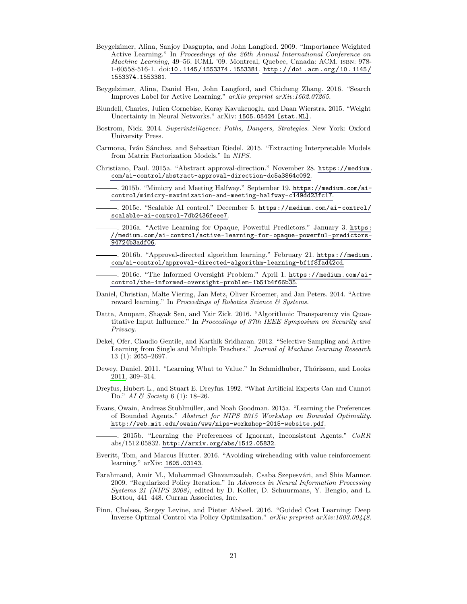- <span id="page-20-4"></span>Beygelzimer, Alina, Sanjoy Dasgupta, and John Langford. 2009. "Importance Weighted Active Learning." In Proceedings of the 26th Annual International Conference on Machine Learning, 49–56. ICML '09. Montreal, Quebec, Canada: ACM. isbn: 978- 1-60558-516-1. doi:[10 . 1145 / 1553374 . 1553381](http://dx.doi.org/10.1145/1553374.1553381). [http : / / doi . acm . org / 10 . 1145 /](http://doi.acm.org/10.1145/1553374.1553381) [1553374.1553381](http://doi.acm.org/10.1145/1553374.1553381).
- <span id="page-20-5"></span>Beygelzimer, Alina, Daniel Hsu, John Langford, and Chicheng Zhang. 2016. "Search Improves Label for Active Learning." arXiv preprint arXiv:1602.07265.
- <span id="page-20-3"></span>Blundell, Charles, Julien Cornebise, Koray Kavukcuoglu, and Daan Wierstra. 2015. "Weight Uncertainty in Neural Networks." arXiv: [1505.05424 \[stat.ML\]](http://arxiv.org/abs/1505.05424).
- <span id="page-20-0"></span>Bostrom, Nick. 2014. Superintelligence: Paths, Dangers, Strategies. New York: Oxford University Press.
- <span id="page-20-18"></span>Carmona, Iván Sánchez, and Sebastian Riedel. 2015. "Extracting Interpretable Models from Matrix Factorization Models." In NIPS.
- <span id="page-20-12"></span>Christiano, Paul. 2015a. "Abstract approval-direction." November 28. [https://medium.](https://medium.com/ai-control/abstract-approval-direction-dc5a3864c092) [com/ai-control/abstract-approval-direction-dc5a3864c092](https://medium.com/ai-control/abstract-approval-direction-dc5a3864c092).
- <span id="page-20-8"></span>. 2015b. "Mimicry and Meeting Halfway." September 19. [https://medium.com/ai](https://medium.com/ai-control/mimicry-maximization-and-meeting-halfway-c149dd23fc17)[control/mimicry-maximization-and-meeting-halfway-c149dd23fc17](https://medium.com/ai-control/mimicry-maximization-and-meeting-halfway-c149dd23fc17).
- <span id="page-20-1"></span>. 2015c. "Scalable AI control." December 5. [https://medium.com/ai- control/](https://medium.com/ai-control/scalable-ai-control-7db2436feee7) [scalable-ai-control-7db2436feee7](https://medium.com/ai-control/scalable-ai-control-7db2436feee7).
- <span id="page-20-7"></span>. 2016a. "Active Learning for Opaque, Powerful Predictors." January 3. [https:](https://medium.com/ai-control/active-learning-for-opaque-powerful-predictors-94724b3adf06) [//medium.com/ai-control/active-learning-for-opaque-powerful-predictors-](https://medium.com/ai-control/active-learning-for-opaque-powerful-predictors-94724b3adf06)[94724b3adf06](https://medium.com/ai-control/active-learning-for-opaque-powerful-predictors-94724b3adf06).
- <span id="page-20-14"></span><span id="page-20-13"></span>. 2016b. "Approval-directed algorithm learning." February 21. [https://medium.](https://medium.com/ai-control/approval-directed-algorithm-learning-bf1f8fad42cd) [com/ai-control/approval-directed-algorithm-learning-bf1f8fad42cd](https://medium.com/ai-control/approval-directed-algorithm-learning-bf1f8fad42cd).
	- . 2016c. "The Informed Oversight Problem." April 1. [https://medium.com/ai](https://medium.com/ai-control/the-informed-oversight-problem-1b51b4f66b35)[control/the-informed-oversight-problem-1b51b4f66b35](https://medium.com/ai-control/the-informed-oversight-problem-1b51b4f66b35).
- <span id="page-20-15"></span>Daniel, Christian, Malte Viering, Jan Metz, Oliver Kroemer, and Jan Peters. 2014. "Active reward learning." In Proceedings of Robotics Science & Systems.
- <span id="page-20-17"></span>Datta, Anupam, Shayak Sen, and Yair Zick. 2016. "Algorithmic Transparency via Quantitative Input Influence." In Proceedings of 37th IEEE Symposium on Security and Privacu.
- <span id="page-20-6"></span>Dekel, Ofer, Claudio Gentile, and Karthik Sridharan. 2012. "Selective Sampling and Active Learning from Single and Multiple Teachers." Journal of Machine Learning Research 13 (1): 2655–2697.
- <span id="page-20-19"></span>Dewey, Daniel. 2011. "Learning What to Value." In Schmidhuber, Thórisson, and Looks [2011,](#page-23-20) 309–314.
- <span id="page-20-2"></span>Dreyfus, Hubert L., and Stuart E. Dreyfus. 1992. "What Artificial Experts Can and Cannot Do." AI & Society 6 (1):  $18-26$ .
- <span id="page-20-11"></span>Evans, Owain, Andreas Stuhlm¨uller, and Noah Goodman. 2015a. "Learning the Preferences of Bounded Agents." Abstract for NIPS 2015 Workshop on Bounded Optimality. <http://web.mit.edu/owain/www/nips-workshop-2015-website.pdf>.
	- -. 2015b. "Learning the Preferences of Ignorant, Inconsistent Agents." CoRR abs/1512.05832. <http://arxiv.org/abs/1512.05832>.
- <span id="page-20-16"></span><span id="page-20-10"></span>Everitt, Tom, and Marcus Hutter. 2016. "Avoiding wireheading with value reinforcement learning." arXiv: [1605.03143](http://arxiv.org/abs/1605.03143).
- <span id="page-20-20"></span>Farahmand, Amir M., Mohammad Ghavamzadeh, Csaba Szepesvári, and Shie Mannor. 2009. "Regularized Policy Iteration." In Advances in Neural Information Processing Systems 21 (NIPS 2008), edited by D. Koller, D. Schuurmans, Y. Bengio, and L. Bottou, 441–448. Curran Associates, Inc.
- <span id="page-20-9"></span>Finn, Chelsea, Sergey Levine, and Pieter Abbeel. 2016. "Guided Cost Learning: Deep Inverse Optimal Control via Policy Optimization." arXiv preprint arXiv:1603.00448.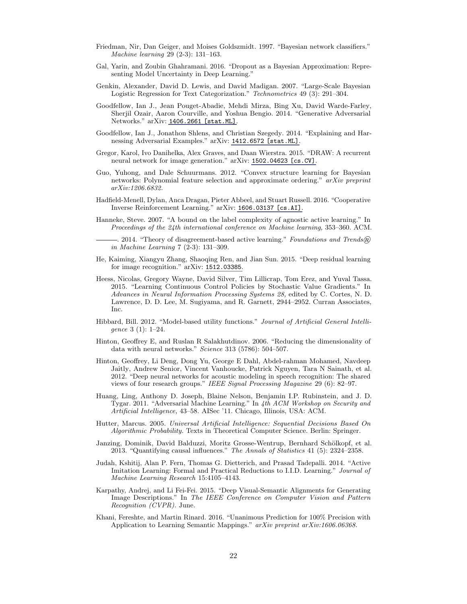- <span id="page-21-14"></span>Friedman, Nir, Dan Geiger, and Moises Goldszmidt. 1997. "Bayesian network classifiers." Machine learning 29 (2-3): 131–163.
- <span id="page-21-3"></span>Gal, Yarin, and Zoubin Ghahramani. 2016. "Dropout as a Bayesian Approximation: Representing Model Uncertainty in Deep Learning."
- <span id="page-21-0"></span>Genkin, Alexander, David D. Lewis, and David Madigan. 2007. "Large-Scale Bayesian Logistic Regression for Text Categorization." Technometrics 49 (3): 291–304.
- <span id="page-21-12"></span>Goodfellow, Ian J., Jean Pouget-Abadie, Mehdi Mirza, Bing Xu, David Warde-Farley, Sherjil Ozair, Aaron Courville, and Yoshua Bengio. 2014. "Generative Adversarial Networks." arXiv: [1406.2661 \[stat.ML\]](http://arxiv.org/abs/1406.2661).
- <span id="page-21-2"></span>Goodfellow, Ian J., Jonathon Shlens, and Christian Szegedy. 2014. "Explaining and Harnessing Adversarial Examples." arXiv: [1412.6572 \[stat.ML\]](http://arxiv.org/abs/1412.6572).
- <span id="page-21-10"></span>Gregor, Karol, Ivo Danihelka, Alex Graves, and Daan Wierstra. 2015. "DRAW: A recurrent neural network for image generation." arXiv: [1502.04623 \[cs.CV\]](http://arxiv.org/abs/1502.04623).
- <span id="page-21-1"></span>Guo, Yuhong, and Dale Schuurmans. 2012. "Convex structure learning for Bayesian networks: Polynomial feature selection and approximate ordering." arXiv preprint arXiv:1206.6832.
- <span id="page-21-13"></span>Hadfield-Menell, Dylan, Anca Dragan, Pieter Abbeel, and Stuart Russell. 2016. "Cooperative Inverse Reinforcement Learning." arXiv: [1606.03137 \[cs.AI\]](http://arxiv.org/abs/1606.03137).
- <span id="page-21-4"></span>Hanneke, Steve. 2007. "A bound on the label complexity of agnostic active learning." In Proceedings of the 24th international conference on Machine learning, 353–360. ACM.

<span id="page-21-5"></span>-. 2014. "Theory of disagreement-based active learning." Foundations and Trends $\circledR$ in Machine Learning 7 (2-3): 131–309.

- <span id="page-21-8"></span>He, Kaiming, Xiangyu Zhang, Shaoqing Ren, and Jian Sun. 2015. "Deep residual learning for image recognition." arXiv: [1512.03385](http://arxiv.org/abs/1512.03385).
- <span id="page-21-18"></span>Heess, Nicolas, Gregory Wayne, David Silver, Tim Lillicrap, Tom Erez, and Yuval Tassa. 2015. "Learning Continuous Control Policies by Stochastic Value Gradients." In Advances in Neural Information Processing Systems 28, edited by C. Cortes, N. D. Lawrence, D. D. Lee, M. Sugiyama, and R. Garnett, 2944–2952. Curran Associates, Inc.
- <span id="page-21-16"></span>Hibbard, Bill. 2012. "Model-based utility functions." Journal of Artificial General Intelligence 3 (1): 1–24.
- <span id="page-21-19"></span>Hinton, Geoffrey E, and Ruslan R Salakhutdinov. 2006. "Reducing the dimensionality of data with neural networks." Science 313 (5786): 504–507.
- <span id="page-21-20"></span>Hinton, Geoffrey, Li Deng, Dong Yu, George E Dahl, Abdel-rahman Mohamed, Navdeep Jaitly, Andrew Senior, Vincent Vanhoucke, Patrick Nguyen, Tara N Sainath, et al. 2012. "Deep neural networks for acoustic modeling in speech recognition: The shared views of four research groups." IEEE Signal Processing Magazine 29 (6): 82–97.
- <span id="page-21-6"></span>Huang, Ling, Anthony D. Joseph, Blaine Nelson, Benjamin I.P. Rubinstein, and J. D. Tygar. 2011. "Adversarial Machine Learning." In 4th ACM Workshop on Security and Artificial Intelligence, 43–58. AISec '11. Chicago, Illinois, USA: ACM.
- <span id="page-21-17"></span>Hutter, Marcus. 2005. Universal Artificial Intelligence: Sequential Decisions Based On Algorithmic Probability. Texts in Theoretical Computer Science. Berlin: Springer.
- <span id="page-21-15"></span>Janzing, Dominik, David Balduzzi, Moritz Grosse-Wentrup, Bernhard Schölkopf, et al. 2013. "Quantifying causal influences." The Annals of Statistics 41 (5): 2324–2358.
- <span id="page-21-11"></span>Judah, Kshitij, Alan P. Fern, Thomas G. Dietterich, and Prasad Tadepalli. 2014. "Active Imitation Learning: Formal and Practical Reductions to I.I.D. Learning." Journal of Machine Learning Research 15:4105–4143.
- <span id="page-21-9"></span>Karpathy, Andrej, and Li Fei-Fei. 2015. "Deep Visual-Semantic Alignments for Generating Image Descriptions." In The IEEE Conference on Computer Vision and Pattern Recognition (CVPR). June.
- <span id="page-21-7"></span>Khani, Fereshte, and Martin Rinard. 2016. "Unanimous Prediction for 100% Precision with Application to Learning Semantic Mappings." arXiv preprint arXiv:1606.06368.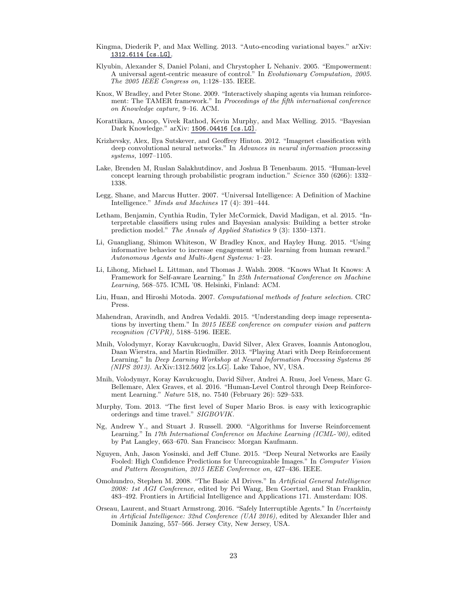- <span id="page-22-10"></span>Kingma, Diederik P, and Max Welling. 2013. "Auto-encoding variational bayes." arXiv: [1312.6114 \[cs.LG\]](http://arxiv.org/abs/1312.6114).
- <span id="page-22-16"></span>Klyubin, Alexander S, Daniel Polani, and Chrystopher L Nehaniv. 2005. "Empowerment: A universal agent-centric measure of control." In Evolutionary Computation, 2005. The 2005 IEEE Congress on, 1:128–135. IEEE.
- <span id="page-22-11"></span>Knox, W Bradley, and Peter Stone. 2009. "Interactively shaping agents via human reinforcement: The TAMER framework." In Proceedings of the fifth international conference on Knowledge capture, 9–16. ACM.
- <span id="page-22-5"></span>Korattikara, Anoop, Vivek Rathod, Kevin Murphy, and Max Welling. 2015. "Bayesian Dark Knowledge." arXiv: [1506.04416 \[cs.LG\]](http://arxiv.org/abs/1506.04416).
- <span id="page-22-8"></span>Krizhevsky, Alex, Ilya Sutskever, and Geoffrey Hinton. 2012. "Imagenet classification with deep convolutional neural networks." In Advances in neural information processing systems, 1097–1105.
- <span id="page-22-2"></span>Lake, Brenden M, Ruslan Salakhutdinov, and Joshua B Tenenbaum. 2015. "Human-level concept learning through probabilistic program induction." Science 350 (6266): 1332– 1338.
- <span id="page-22-15"></span>Legg, Shane, and Marcus Hutter. 2007. "Universal Intelligence: A Definition of Machine Intelligence." Minds and Machines 17 (4): 391–444.
- <span id="page-22-13"></span>Letham, Benjamin, Cynthia Rudin, Tyler McCormick, David Madigan, et al. 2015. "Interpretable classifiers using rules and Bayesian analysis: Building a better stroke prediction model." The Annals of Applied Statistics 9 (3): 1350–1371.
- <span id="page-22-14"></span>Li, Guangliang, Shimon Whiteson, W Bradley Knox, and Hayley Hung. 2015. "Using informative behavior to increase engagement while learning from human reward." Autonomous Agents and Multi-Agent Systems: 1–23.
- <span id="page-22-0"></span>Li, Lihong, Michael L. Littman, and Thomas J. Walsh. 2008. "Knows What It Knows: A Framework for Self-aware Learning." In 25th International Conference on Machine Learning, 568–575. ICML '08. Helsinki, Finland: ACM.
- <span id="page-22-6"></span>Liu, Huan, and Hiroshi Motoda. 2007. Computational methods of feature selection. CRC Press.
- <span id="page-22-12"></span>Mahendran, Aravindh, and Andrea Vedaldi. 2015. "Understanding deep image representations by inverting them." In 2015 IEEE conference on computer vision and pattern recognition  $(CVPR)$ , 5188–5196. IEEE.
- <span id="page-22-3"></span>Mnih, Volodymyr, Koray Kavukcuoglu, David Silver, Alex Graves, Ioannis Antonoglou, Daan Wierstra, and Martin Riedmiller. 2013. "Playing Atari with Deep Reinforcement Learning." In Deep Learning Workshop at Neural Information Processing Systems 26 (NIPS 2013). ArXiv:1312.5602 [cs.LG]. Lake Tahoe, NV, USA.
- <span id="page-22-1"></span>Mnih, Volodymyr, Koray Kavukcuoglu, David Silver, Andrei A. Rusu, Joel Veness, Marc G. Bellemare, Alex Graves, et al. 2016. "Human-Level Control through Deep Reinforcement Learning." Nature 518, no. 7540 (February 26): 529–533.
- <span id="page-22-4"></span>Murphy, Tom. 2013. "The first level of Super Mario Bros. is easy with lexicographic orderings and time travel." SIGBOVIK.
- <span id="page-22-9"></span>Ng, Andrew Y., and Stuart J. Russell. 2000. "Algorithms for Inverse Reinforcement Learning." In 17th International Conference on Machine Learning (ICML-'00), edited by Pat Langley, 663–670. San Francisco: Morgan Kaufmann.
- <span id="page-22-7"></span>Nguyen, Anh, Jason Yosinski, and Jeff Clune. 2015. "Deep Neural Networks are Easily Fooled: High Confidence Predictions for Unrecognizable Images." In Computer Vision and Pattern Recognition, 2015 IEEE Conference on, 427–436. IEEE.
- <span id="page-22-17"></span>Omohundro, Stephen M. 2008. "The Basic AI Drives." In Artificial General Intelligence 2008: 1st AGI Conference, edited by Pei Wang, Ben Goertzel, and Stan Franklin, 483–492. Frontiers in Artificial Intelligence and Applications 171. Amsterdam: IOS.
- <span id="page-22-18"></span>Orseau, Laurent, and Stuart Armstrong. 2016. "Safely Interruptible Agents." In Uncertainty in Artificial Intelligence: 32nd Conference (UAI 2016), edited by Alexander Ihler and Dominik Janzing, 557–566. Jersey City, New Jersey, USA.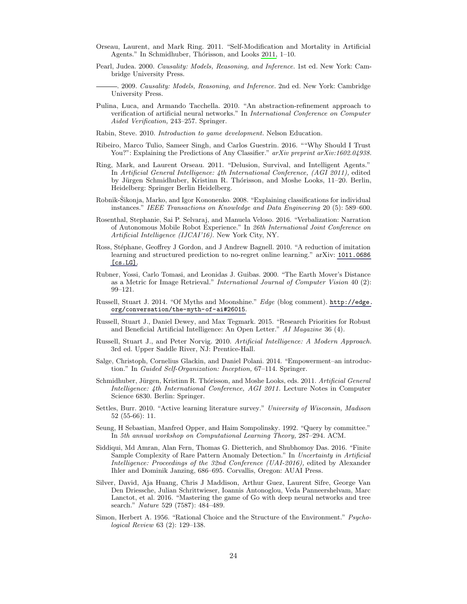- <span id="page-23-13"></span>Orseau, Laurent, and Mark Ring. 2011. "Self-Modification and Mortality in Artificial Agents." In Schmidhuber, Thórisson, and Looks [2011,](#page-23-20) 1–10.
- <span id="page-23-17"></span><span id="page-23-10"></span>Pearl, Judea. 2000. Causality: Models, Reasoning, and Inference. 1st ed. New York: Cambridge University Press.
	- . 2009. Causality: Models, Reasoning, and Inference. 2nd ed. New York: Cambridge University Press.
- <span id="page-23-7"></span>Pulina, Luca, and Armando Tacchella. 2010. "An abstraction-refinement approach to verification of artificial neural networks." In International Conference on Computer Aided Verification, 243–257. Springer.
- <span id="page-23-18"></span>Rabin, Steve. 2010. Introduction to game development. Nelson Education.
- <span id="page-23-8"></span>Ribeiro, Marco Tulio, Sameer Singh, and Carlos Guestrin. 2016. ""Why Should I Trust You?": Explaining the Predictions of Any Classifier." arXiv preprint arXiv:1602.04938.
- <span id="page-23-12"></span>Ring, Mark, and Laurent Orseau. 2011. "Delusion, Survival, and Intelligent Agents." In Artificial General Intelligence: 4th International Conference, (AGI 2011), edited by Jürgen Schmidhuber, Kristinn R. Thórisson, and Moshe Looks, 11–20. Berlin, Heidelberg: Springer Berlin Heidelberg.
- <span id="page-23-9"></span>Robnik-Šikonja, Marko, and Igor Kononenko. 2008. "Explaining classifications for individual instances." IEEE Transactions on Knowledge and Data Engineering 20 (5): 589–600.
- <span id="page-23-11"></span>Rosenthal, Stephanie, Sai P. Selvaraj, and Manuela Veloso. 2016. "Verbalization: Narration of Autonomous Mobile Robot Experience." In 26th International Joint Conference on Artificial Intelligence (IJCAI'16). New York City, NY.
- <span id="page-23-6"></span>Ross, Stéphane, Geoffrey J Gordon, and J Andrew Bagnell. 2010. "A reduction of imitation learning and structured prediction to no-regret online learning." arXiv: [1011.0686](http://arxiv.org/abs/1011.0686) [\[cs.LG\]](http://arxiv.org/abs/1011.0686).
- <span id="page-23-16"></span>Rubner, Yossi, Carlo Tomasi, and Leonidas J. Guibas. 2000. "The Earth Mover's Distance as a Metric for Image Retrieval." International Journal of Computer Vision 40 (2): 99–121.
- <span id="page-23-1"></span>Russell, Stuart J. 2014. "Of Myths and Moonshine." Edge (blog comment). [http://edge.](http://edge.org/conversation/the-myth-of-ai#26015) [org/conversation/the-myth-of-ai#26015](http://edge.org/conversation/the-myth-of-ai#26015).
- <span id="page-23-3"></span>Russell, Stuart J., Daniel Dewey, and Max Tegmark. 2015. "Research Priorities for Robust and Beneficial Artificial Intelligence: An Open Letter." AI Magazine 36 (4).
- <span id="page-23-0"></span>Russell, Stuart J., and Peter Norvig. 2010. Artificial Intelligence: A Modern Approach. 3rd ed. Upper Saddle River, NJ: Prentice-Hall.
- <span id="page-23-15"></span>Salge, Christoph, Cornelius Glackin, and Daniel Polani. 2014. "Empowerment–an introduction." In Guided Self-Organization: Inception, 67–114. Springer.
- <span id="page-23-20"></span>Schmidhuber, Jürgen, Kristinn R. Thórisson, and Moshe Looks, eds. 2011. Artificial General Intelligence: 4th International Conference, AGI 2011. Lecture Notes in Computer Science 6830. Berlin: Springer.
- <span id="page-23-4"></span>Settles, Burr. 2010. "Active learning literature survey." University of Wisconsin, Madison 52 (55-66): 11.
- <span id="page-23-5"></span>Seung, H Sebastian, Manfred Opper, and Haim Sompolinsky. 1992. "Query by committee." In 5th annual workshop on Computational Learning Theory, 287–294. ACM.
- <span id="page-23-14"></span>Siddiqui, Md Amran, Alan Fern, Thomas G. Dietterich, and Shubhomoy Das. 2016. "Finite Sample Complexity of Rare Pattern Anomaly Detection." In Uncertainty in Artificial Intelligence: Proceedings of the 32nd Conference (UAI-2016), edited by Alexander Ihler and Dominik Janzing, 686–695. Corvallis, Oregon: AUAI Press.
- <span id="page-23-2"></span>Silver, David, Aja Huang, Chris J Maddison, Arthur Guez, Laurent Sifre, George Van Den Driessche, Julian Schrittwieser, Ioannis Antonoglou, Veda Panneershelvam, Marc Lanctot, et al. 2016. "Mastering the game of Go with deep neural networks and tree search." Nature 529 (7587): 484–489.
- <span id="page-23-19"></span>Simon, Herbert A. 1956. "Rational Choice and the Structure of the Environment." Psychological Review 63 (2): 129–138.